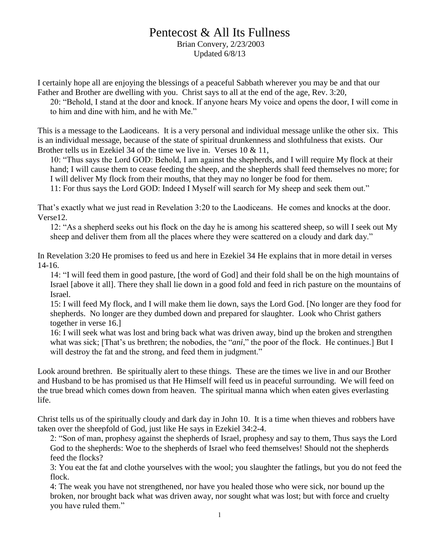# Pentecost & All Its Fullness

Brian Convery, 2/23/2003 Updated 6/8/13

I certainly hope all are enjoying the blessings of a peaceful Sabbath wherever you may be and that our Father and Brother are dwelling with you. Christ says to all at the end of the age, Rev. 3:20,

20: "Behold, I stand at the door and knock. If anyone hears My voice and opens the door, I will come in to him and dine with him, and he with Me."

This is a message to the Laodiceans. It is a very personal and individual message unlike the other six. This is an individual message, because of the state of spiritual drunkenness and slothfulness that exists. Our Brother tells us in Ezekiel 34 of the time we live in. Verses 10 & 11,

10: "Thus says the Lord GOD: Behold, I am against the shepherds, and I will require My flock at their hand; I will cause them to cease feeding the sheep, and the shepherds shall feed themselves no more; for I will deliver My flock from their mouths, that they may no longer be food for them.

11: For thus says the Lord GOD: Indeed I Myself will search for My sheep and seek them out."

That's exactly what we just read in Revelation 3:20 to the Laodiceans. He comes and knocks at the door. Verse12.

12: "As a shepherd seeks out his flock on the day he is among his scattered sheep, so will I seek out My sheep and deliver them from all the places where they were scattered on a cloudy and dark day."

In Revelation 3:20 He promises to feed us and here in Ezekiel 34 He explains that in more detail in verses 14-16.

14: "I will feed them in good pasture, [the word of God] and their fold shall be on the high mountains of Israel [above it all]. There they shall lie down in a good fold and feed in rich pasture on the mountains of Israel.

15: I will feed My flock, and I will make them lie down, says the Lord God. [No longer are they food for shepherds. No longer are they dumbed down and prepared for slaughter. Look who Christ gathers together in verse 16.]

16: I will seek what was lost and bring back what was driven away, bind up the broken and strengthen what was sick; [That's us brethren; the nobodies, the "*ani*," the poor of the flock. He continues.] But I will destroy the fat and the strong, and feed them in judgment."

Look around brethren. Be spiritually alert to these things. These are the times we live in and our Brother and Husband to be has promised us that He Himself will feed us in peaceful surrounding. We will feed on the true bread which comes down from heaven. The spiritual manna which when eaten gives everlasting life.

Christ tells us of the spiritually cloudy and dark day in John 10. It is a time when thieves and robbers have taken over the sheepfold of God, just like He says in Ezekiel 34:2-4.

2: "Son of man, prophesy against the shepherds of Israel, prophesy and say to them, Thus says the Lord God to the shepherds: Woe to the shepherds of Israel who feed themselves! Should not the shepherds feed the flocks?

3: You eat the fat and clothe yourselves with the wool; you slaughter the fatlings, but you do not feed the flock.

4: The weak you have not strengthened, nor have you healed those who were sick, nor bound up the broken, nor brought back what was driven away, nor sought what was lost; but with force and cruelty you have ruled them."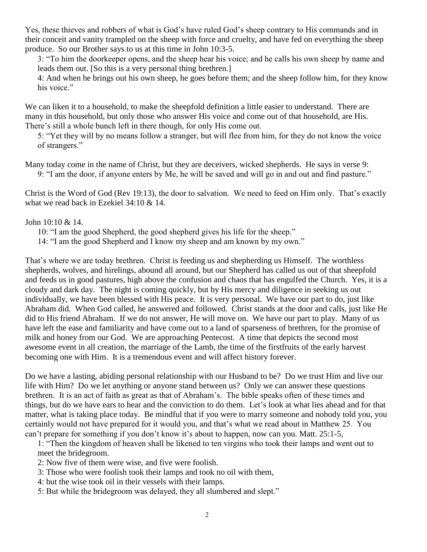Yes, these thieves and robbers of what is God's have ruled God's sheep contrary to His commands and in their conceit and vanity trampled on the sheep with force and cruelty, and have fed on everything the sheep produce. So our Brother says to us at this time in John 10:3-5.

3: "To him the doorkeeper opens, and the sheep hear his voice; and he calls his own sheep by name and leads them out. [So this is a very personal thing brethren.]

4: And when he brings out his own sheep, he goes before them; and the sheep follow him, for they know his voice."

We can liken it to a household, to make the sheepfold definition a little easier to understand. There are many in this household, but only those who answer His voice and come out of that household, are His. There's still a whole bunch left in there though, for only His come out.

5: "Yet they will by no means follow a stranger, but will flee from him, for they do not know the voice of strangers."

Many today come in the name of Christ, but they are deceivers, wicked shepherds. He says in verse 9: 9: "I am the door, if anyone enters by Me, he will be saved and will go in and out and find pasture."

Christ is the Word of God (Rev 19:13), the door to salvation. We need to feed on Him only. That's exactly what we read back in Ezekiel 34:10 & 14.

# John 10:10 & 14.

- 10: "I am the good Shepherd, the good shepherd gives his life for the sheep."
- 14: "I am the good Shepherd and I know my sheep and am known by my own."

That's where we are today brethren. Christ is feeding us and shepherding us Himself. The worthless shepherds, wolves, and hirelings, abound all around, but our Shepherd has called us out of that sheepfold and feeds us in good pastures, high above the confusion and chaos that has engulfed the Church. Yes, it is a cloudy and dark day. The night is coming quickly, but by His mercy and diligence in seeking us out individually, we have been blessed with His peace. It is very personal. We have our part to do, just like Abraham did. When God called, he answered and followed. Christ stands at the door and calls, just like He did to His friend Abraham. If we do not answer, He will move on. We have our part to play. Many of us have left the ease and familiarity and have come out to a land of sparseness of brethren, for the promise of milk and honey from our God. We are approaching Pentecost. A time that depicts the second most awesome event in all creation, the marriage of the Lamb, the time of the firstfruits of the early harvest becoming one with Him. It is a tremendous event and will affect history forever.

Do we have a lasting, abiding personal relationship with our Husband to be? Do we trust Him and live our life with Him? Do we let anything or anyone stand between us? Only we can answer these questions brethren. It is an act of faith as great as that of Abraham's. The bible speaks often of these times and things, but do we have ears to hear and the conviction to do them. Let's look at what lies ahead and for that matter, what is taking place today. Be mindful that if you were to marry someone and nobody told you, you certainly would not have prepared for it would you, and that's what we read about in Matthew 25. You can't prepare for something if you don't know it's about to happen, now can you. Matt. 25:1-5,

1: "Then the kingdom of heaven shall be likened to ten virgins who took their lamps and went out to meet the bridegroom.

- 2: Now five of them were wise, and five were foolish.
- 3: Those who were foolish took their lamps and took no oil with them,
- 4: but the wise took oil in their vessels with their lamps.
- 5: But while the bridegroom was delayed, they all slumbered and slept."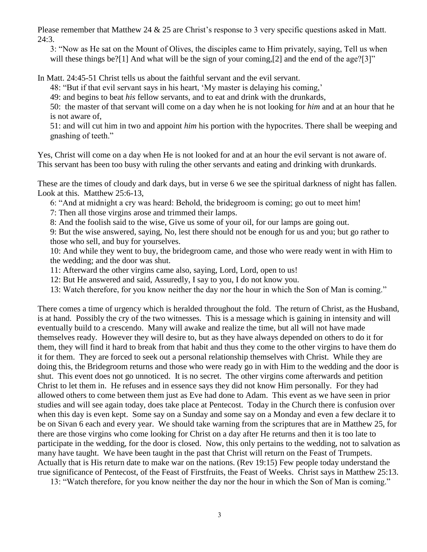Please remember that Matthew 24 & 25 are Christ's response to 3 very specific questions asked in Matt. 24:3.

3: "Now as He sat on the Mount of Olives, the disciples came to Him privately, saying, Tell us when will these things be?[1] And what will be the sign of your coming,[2] and the end of the age?[3]"

In Matt. 24:45-51 Christ tells us about the faithful servant and the evil servant.

48: "But if that evil servant says in his heart, 'My master is delaying his coming,'

49: and begins to beat *his* fellow servants, and to eat and drink with the drunkards,

50: the master of that servant will come on a day when he is not looking for *him* and at an hour that he is not aware of,

51: and will cut him in two and appoint *him* his portion with the hypocrites. There shall be weeping and gnashing of teeth."

Yes, Christ will come on a day when He is not looked for and at an hour the evil servant is not aware of. This servant has been too busy with ruling the other servants and eating and drinking with drunkards.

These are the times of cloudy and dark days, but in verse 6 we see the spiritual darkness of night has fallen. Look at this. Matthew 25:6-13,

6: "And at midnight a cry was heard: Behold, the bridegroom is coming; go out to meet him!

7: Then all those virgins arose and trimmed their lamps.

8: And the foolish said to the wise, Give us some of your oil, for our lamps are going out.

9: But the wise answered, saying, No, lest there should not be enough for us and you; but go rather to those who sell, and buy for yourselves.

10: And while they went to buy, the bridegroom came, and those who were ready went in with Him to the wedding; and the door was shut.

11: Afterward the other virgins came also, saying, Lord, Lord, open to us!

12: But He answered and said, Assuredly, I say to you, I do not know you.

13: Watch therefore, for you know neither the day nor the hour in which the Son of Man is coming."

There comes a time of urgency which is heralded throughout the fold. The return of Christ, as the Husband, is at hand. Possibly the cry of the two witnesses. This is a message which is gaining in intensity and will eventually build to a crescendo. Many will awake and realize the time, but all will not have made themselves ready. However they will desire to, but as they have always depended on others to do it for them, they will find it hard to break from that habit and thus they come to the other virgins to have them do it for them. They are forced to seek out a personal relationship themselves with Christ. While they are doing this, the Bridegroom returns and those who were ready go in with Him to the wedding and the door is shut. This event does not go unnoticed. It is no secret. The other virgins come afterwards and petition Christ to let them in. He refuses and in essence says they did not know Him personally. For they had allowed others to come between them just as Eve had done to Adam. This event as we have seen in prior studies and will see again today, does take place at Pentecost. Today in the Church there is confusion over when this day is even kept. Some say on a Sunday and some say on a Monday and even a few declare it to be on Sivan 6 each and every year. We should take warning from the scriptures that are in Matthew 25, for there are those virgins who come looking for Christ on a day after He returns and then it is too late to participate in the wedding, for the door is closed. Now, this only pertains to the wedding, not to salvation as many have taught. We have been taught in the past that Christ will return on the Feast of Trumpets. Actually that is His return date to make war on the nations. (Rev 19:15) Few people today understand the true significance of Pentecost, of the Feast of Firstfruits, the Feast of Weeks. Christ says in Matthew 25:13.

13: "Watch therefore, for you know neither the day nor the hour in which the Son of Man is coming."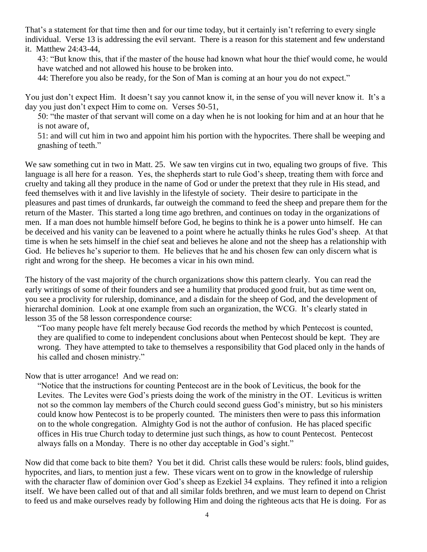That's a statement for that time then and for our time today, but it certainly isn't referring to every single individual. Verse 13 is addressing the evil servant. There is a reason for this statement and few understand it. Matthew 24:43-44,

43: "But know this, that if the master of the house had known what hour the thief would come, he would have watched and not allowed his house to be broken into.

44: Therefore you also be ready, for the Son of Man is coming at an hour you do not expect."

You just don't expect Him. It doesn't say you cannot know it, in the sense of you will never know it. It's a day you just don't expect Him to come on. Verses 50-51,

50: "the master of that servant will come on a day when he is not looking for him and at an hour that he is not aware of,

51: and will cut him in two and appoint him his portion with the hypocrites. There shall be weeping and gnashing of teeth."

We saw something cut in two in Matt. 25. We saw ten virgins cut in two, equaling two groups of five. This language is all here for a reason. Yes, the shepherds start to rule God's sheep, treating them with force and cruelty and taking all they produce in the name of God or under the pretext that they rule in His stead, and feed themselves with it and live lavishly in the lifestyle of society. Their desire to participate in the pleasures and past times of drunkards, far outweigh the command to feed the sheep and prepare them for the return of the Master. This started a long time ago brethren, and continues on today in the organizations of men. If a man does not humble himself before God, he begins to think he is a power unto himself. He can be deceived and his vanity can be leavened to a point where he actually thinks he rules God's sheep. At that time is when he sets himself in the chief seat and believes he alone and not the sheep has a relationship with God. He believes he's superior to them. He believes that he and his chosen few can only discern what is right and wrong for the sheep. He becomes a vicar in his own mind.

The history of the vast majority of the church organizations show this pattern clearly. You can read the early writings of some of their founders and see a humility that produced good fruit, but as time went on, you see a proclivity for rulership, dominance, and a disdain for the sheep of God, and the development of hierarchal dominion. Look at one example from such an organization, the WCG. It's clearly stated in lesson 35 of the 58 lesson correspondence course:

"Too many people have felt merely because God records the method by which Pentecost is counted, they are qualified to come to independent conclusions about when Pentecost should be kept. They are wrong. They have attempted to take to themselves a responsibility that God placed only in the hands of his called and chosen ministry."

Now that is utter arrogance! And we read on:

"Notice that the instructions for counting Pentecost are in the book of Leviticus, the book for the Levites. The Levites were God's priests doing the work of the ministry in the OT. Leviticus is written not so the common lay members of the Church could second guess God's ministry, but so his ministers could know how Pentecost is to be properly counted. The ministers then were to pass this information on to the whole congregation. Almighty God is not the author of confusion. He has placed specific offices in His true Church today to determine just such things, as how to count Pentecost. Pentecost always falls on a Monday. There is no other day acceptable in God's sight."

Now did that come back to bite them? You bet it did. Christ calls these would be rulers: fools, blind guides, hypocrites, and liars, to mention just a few. These vicars went on to grow in the knowledge of rulership with the character flaw of dominion over God's sheep as Ezekiel 34 explains. They refined it into a religion itself. We have been called out of that and all similar folds brethren, and we must learn to depend on Christ to feed us and make ourselves ready by following Him and doing the righteous acts that He is doing. For as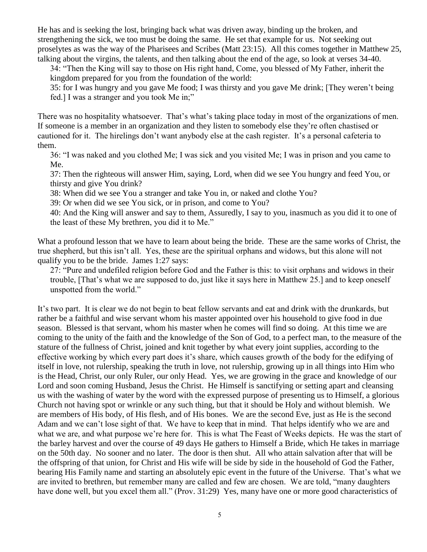He has and is seeking the lost, bringing back what was driven away, binding up the broken, and strengthening the sick, we too must be doing the same. He set that example for us. Not seeking out proselytes as was the way of the Pharisees and Scribes (Matt 23:15). All this comes together in Matthew 25, talking about the virgins, the talents, and then talking about the end of the age, so look at verses 34-40.

34: "Then the King will say to those on His right hand, Come, you blessed of My Father, inherit the kingdom prepared for you from the foundation of the world:

35: for I was hungry and you gave Me food; I was thirsty and you gave Me drink; [They weren't being fed.] I was a stranger and you took Me in;"

There was no hospitality whatsoever. That's what's taking place today in most of the organizations of men. If someone is a member in an organization and they listen to somebody else they're often chastised or cautioned for it. The hirelings don't want anybody else at the cash register. It's a personal cafeteria to them.

36: "I was naked and you clothed Me; I was sick and you visited Me; I was in prison and you came to Me.

37: Then the righteous will answer Him, saying, Lord, when did we see You hungry and feed You, or thirsty and give You drink?

38: When did we see You a stranger and take You in, or naked and clothe You?

39: Or when did we see You sick, or in prison, and come to You?

40: And the King will answer and say to them, Assuredly, I say to you, inasmuch as you did it to one of the least of these My brethren, you did it to Me."

What a profound lesson that we have to learn about being the bride. These are the same works of Christ, the true shepherd, but this isn't all. Yes, these are the spiritual orphans and widows, but this alone will not qualify you to be the bride. James 1:27 says:

27: "Pure and undefiled religion before God and the Father is this: to visit orphans and widows in their trouble, [That's what we are supposed to do, just like it says here in Matthew 25.] and to keep oneself unspotted from the world."

It's two part. It is clear we do not begin to beat fellow servants and eat and drink with the drunkards, but rather be a faithful and wise servant whom his master appointed over his household to give food in due season. Blessed is that servant, whom his master when he comes will find so doing. At this time we are coming to the unity of the faith and the knowledge of the Son of God, to a perfect man, to the measure of the stature of the fullness of Christ, joined and knit together by what every joint supplies, according to the effective working by which every part does it's share, which causes growth of the body for the edifying of itself in love, not rulership, speaking the truth in love, not rulership, growing up in all things into Him who is the Head, Christ, our only Ruler, our only Head. Yes, we are growing in the grace and knowledge of our Lord and soon coming Husband, Jesus the Christ. He Himself is sanctifying or setting apart and cleansing us with the washing of water by the word with the expressed purpose of presenting us to Himself, a glorious Church not having spot or wrinkle or any such thing, but that it should be Holy and without blemish. We are members of His body, of His flesh, and of His bones. We are the second Eve, just as He is the second Adam and we can't lose sight of that. We have to keep that in mind. That helps identify who we are and what we are, and what purpose we're here for. This is what The Feast of Weeks depicts. He was the start of the barley harvest and over the course of 49 days He gathers to Himself a Bride, which He takes in marriage on the 50th day. No sooner and no later. The door is then shut. All who attain salvation after that will be the offspring of that union, for Christ and His wife will be side by side in the household of God the Father, bearing His Family name and starting an absolutely epic event in the future of the Universe. That's what we are invited to brethren, but remember many are called and few are chosen. We are told, "many daughters have done well, but you excel them all." (Prov. 31:29) Yes, many have one or more good characteristics of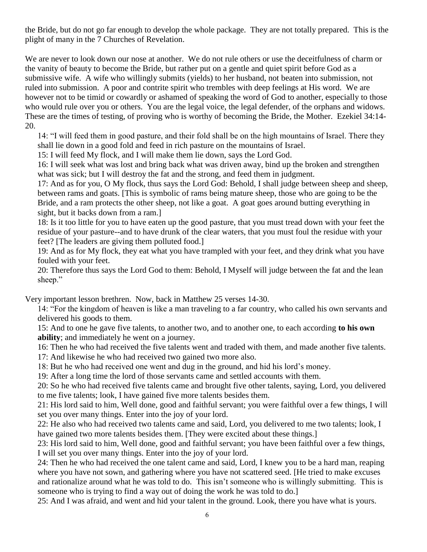the Bride, but do not go far enough to develop the whole package. They are not totally prepared. This is the plight of many in the 7 Churches of Revelation.

We are never to look down our nose at another. We do not rule others or use the deceitfulness of charm or the vanity of beauty to become the Bride, but rather put on a gentle and quiet spirit before God as a submissive wife. A wife who willingly submits (yields) to her husband, not beaten into submission, not ruled into submission. A poor and contrite spirit who trembles with deep feelings at His word. We are however not to be timid or cowardly or ashamed of speaking the word of God to another, especially to those who would rule over you or others. You are the legal voice, the legal defender, of the orphans and widows. These are the times of testing, of proving who is worthy of becoming the Bride, the Mother. Ezekiel 34:14- 20.

14: "I will feed them in good pasture, and their fold shall be on the high mountains of Israel. There they shall lie down in a good fold and feed in rich pasture on the mountains of Israel.

15: I will feed My flock, and I will make them lie down, says the Lord God.

16: I will seek what was lost and bring back what was driven away, bind up the broken and strengthen what was sick; but I will destroy the fat and the strong, and feed them in judgment.

17: And as for you, O My flock, thus says the Lord God: Behold, I shall judge between sheep and sheep, between rams and goats. [This is symbolic of rams being mature sheep, those who are going to be the Bride, and a ram protects the other sheep, not like a goat. A goat goes around butting everything in sight, but it backs down from a ram.]

18: Is it too little for you to have eaten up the good pasture, that you must tread down with your feet the residue of your pasture--and to have drunk of the clear waters, that you must foul the residue with your feet? [The leaders are giving them polluted food.]

19: And as for My flock, they eat what you have trampled with your feet, and they drink what you have fouled with your feet.

20: Therefore thus says the Lord God to them: Behold, I Myself will judge between the fat and the lean sheep."

Very important lesson brethren. Now, back in Matthew 25 verses 14-30.

14: "For the kingdom of heaven is like a man traveling to a far country, who called his own servants and delivered his goods to them.

15: And to one he gave five talents, to another two, and to another one, to each according **to his own ability**; and immediately he went on a journey.

16: Then he who had received the five talents went and traded with them, and made another five talents. 17: And likewise he who had received two gained two more also.

18: But he who had received one went and dug in the ground, and hid his lord's money.

19: After a long time the lord of those servants came and settled accounts with them.

20: So he who had received five talents came and brought five other talents, saying, Lord, you delivered to me five talents; look, I have gained five more talents besides them.

21: His lord said to him, Well done, good and faithful servant; you were faithful over a few things, I will set you over many things. Enter into the joy of your lord.

22: He also who had received two talents came and said, Lord, you delivered to me two talents; look, I have gained two more talents besides them. [They were excited about these things.]

23: His lord said to him, Well done, good and faithful servant; you have been faithful over a few things, I will set you over many things. Enter into the joy of your lord.

24: Then he who had received the one talent came and said, Lord, I knew you to be a hard man, reaping where you have not sown, and gathering where you have not scattered seed. [He tried to make excuses and rationalize around what he was told to do. This isn't someone who is willingly submitting. This is someone who is trying to find a way out of doing the work he was told to do.]

25: And I was afraid, and went and hid your talent in the ground. Look, there you have what is yours.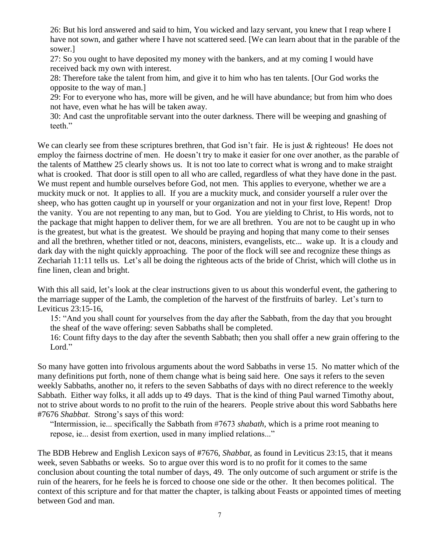26: But his lord answered and said to him, You wicked and lazy servant, you knew that I reap where I have not sown, and gather where I have not scattered seed. [We can learn about that in the parable of the sower.]

27: So you ought to have deposited my money with the bankers, and at my coming I would have received back my own with interest.

28: Therefore take the talent from him, and give it to him who has ten talents. [Our God works the opposite to the way of man.]

29: For to everyone who has, more will be given, and he will have abundance; but from him who does not have, even what he has will be taken away.

30: And cast the unprofitable servant into the outer darkness. There will be weeping and gnashing of teeth."

We can clearly see from these scriptures brethren, that God isn't fair. He is just & righteous! He does not employ the fairness doctrine of men. He doesn't try to make it easier for one over another, as the parable of the talents of Matthew 25 clearly shows us. It is not too late to correct what is wrong and to make straight what is crooked. That door is still open to all who are called, regardless of what they have done in the past. We must repent and humble ourselves before God, not men. This applies to everyone, whether we are a muckity muck or not. It applies to all. If you are a muckity muck, and consider yourself a ruler over the sheep, who has gotten caught up in yourself or your organization and not in your first love, Repent! Drop the vanity. You are not repenting to any man, but to God. You are yielding to Christ, to His words, not to the package that might happen to deliver them, for we are all brethren. You are not to be caught up in who is the greatest, but what is the greatest. We should be praying and hoping that many come to their senses and all the brethren, whether titled or not, deacons, ministers, evangelists, etc... wake up. It is a cloudy and dark day with the night quickly approaching. The poor of the flock will see and recognize these things as Zechariah 11:11 tells us. Let's all be doing the righteous acts of the bride of Christ, which will clothe us in fine linen, clean and bright.

With this all said, let's look at the clear instructions given to us about this wonderful event, the gathering to the marriage supper of the Lamb, the completion of the harvest of the firstfruits of barley. Let's turn to Leviticus 23:15-16,

15: "And you shall count for yourselves from the day after the Sabbath, from the day that you brought the sheaf of the wave offering: seven Sabbaths shall be completed.

16: Count fifty days to the day after the seventh Sabbath; then you shall offer a new grain offering to the Lord."

So many have gotten into frivolous arguments about the word Sabbaths in verse 15. No matter which of the many definitions put forth, none of them change what is being said here. One says it refers to the seven weekly Sabbaths, another no, it refers to the seven Sabbaths of days with no direct reference to the weekly Sabbath. Either way folks, it all adds up to 49 days. That is the kind of thing Paul warned Timothy about, not to strive about words to no profit to the ruin of the hearers. People strive about this word Sabbaths here #7676 *Shabbat*. Strong's says of this word:

"Intermission, ie... specifically the Sabbath from #7673 *shabath*, which is a prime root meaning to repose, ie... desist from exertion, used in many implied relations..."

The BDB Hebrew and English Lexicon says of #7676, *Shabbat*, as found in Leviticus 23:15, that it means week, seven Sabbaths or weeks. So to argue over this word is to no profit for it comes to the same conclusion about counting the total number of days, 49. The only outcome of such argument or strife is the ruin of the hearers, for he feels he is forced to choose one side or the other. It then becomes political. The context of this scripture and for that matter the chapter, is talking about Feasts or appointed times of meeting between God and man.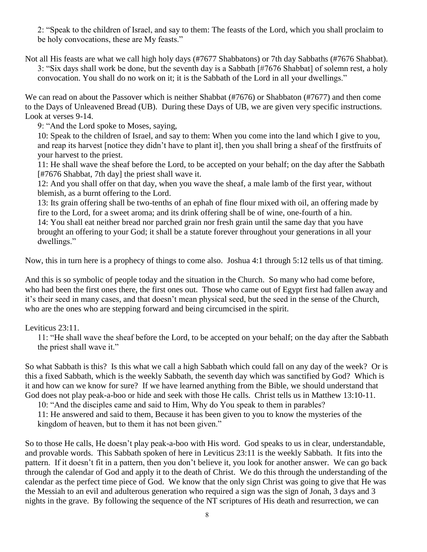2: "Speak to the children of Israel, and say to them: The feasts of the Lord, which you shall proclaim to be holy convocations, these are My feasts."

Not all His feasts are what we call high holy days (#7677 Shabbatons) or 7th day Sabbaths (#7676 Shabbat). 3: "Six days shall work be done, but the seventh day is a Sabbath [#7676 Shabbat] of solemn rest, a holy convocation. You shall do no work on it; it is the Sabbath of the Lord in all your dwellings."

We can read on about the Passover which is neither Shabbat (#7676) or Shabbaton (#7677) and then come to the Days of Unleavened Bread (UB). During these Days of UB, we are given very specific instructions. Look at verses 9-14.

9: "And the Lord spoke to Moses, saying,

10: Speak to the children of Israel, and say to them: When you come into the land which I give to you, and reap its harvest [notice they didn't have to plant it], then you shall bring a sheaf of the firstfruits of your harvest to the priest.

11: He shall wave the sheaf before the Lord, to be accepted on your behalf; on the day after the Sabbath [#7676 Shabbat, 7th day] the priest shall wave it.

12: And you shall offer on that day, when you wave the sheaf, a male lamb of the first year, without blemish, as a burnt offering to the Lord.

13: Its grain offering shall be two-tenths of an ephah of fine flour mixed with oil, an offering made by fire to the Lord, for a sweet aroma; and its drink offering shall be of wine, one-fourth of a hin.

14: You shall eat neither bread nor parched grain nor fresh grain until the same day that you have brought an offering to your God; it shall be a statute forever throughout your generations in all your dwellings."

Now, this in turn here is a prophecy of things to come also. Joshua 4:1 through 5:12 tells us of that timing.

And this is so symbolic of people today and the situation in the Church. So many who had come before, who had been the first ones there, the first ones out. Those who came out of Egypt first had fallen away and it's their seed in many cases, and that doesn't mean physical seed, but the seed in the sense of the Church, who are the ones who are stepping forward and being circumcised in the spirit.

# Leviticus 23:11.

11: "He shall wave the sheaf before the Lord, to be accepted on your behalf; on the day after the Sabbath the priest shall wave it."

So what Sabbath is this? Is this what we call a high Sabbath which could fall on any day of the week? Or is this a fixed Sabbath, which is the weekly Sabbath, the seventh day which was sanctified by God? Which is it and how can we know for sure? If we have learned anything from the Bible, we should understand that God does not play peak-a-boo or hide and seek with those He calls. Christ tells us in Matthew 13:10-11.

10: "And the disciples came and said to Him, Why do You speak to them in parables?

11: He answered and said to them, Because it has been given to you to know the mysteries of the kingdom of heaven, but to them it has not been given."

So to those He calls, He doesn't play peak-a-boo with His word. God speaks to us in clear, understandable, and provable words. This Sabbath spoken of here in Leviticus 23:11 is the weekly Sabbath. It fits into the pattern. If it doesn't fit in a pattern, then you don't believe it, you look for another answer. We can go back through the calendar of God and apply it to the death of Christ. We do this through the understanding of the calendar as the perfect time piece of God. We know that the only sign Christ was going to give that He was the Messiah to an evil and adulterous generation who required a sign was the sign of Jonah, 3 days and 3 nights in the grave. By following the sequence of the NT scriptures of His death and resurrection, we can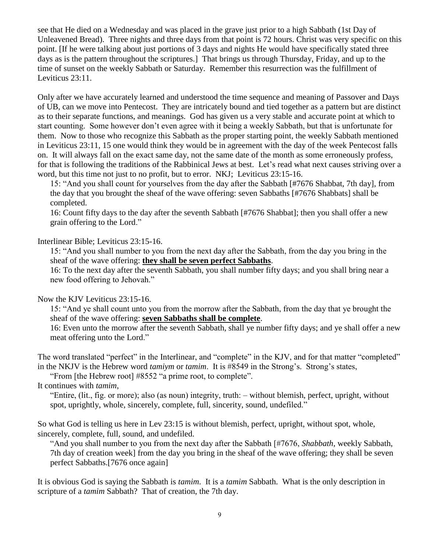see that He died on a Wednesday and was placed in the grave just prior to a high Sabbath (1st Day of Unleavened Bread). Three nights and three days from that point is 72 hours. Christ was very specific on this point. [If he were talking about just portions of 3 days and nights He would have specifically stated three days as is the pattern throughout the scriptures.] That brings us through Thursday, Friday, and up to the time of sunset on the weekly Sabbath or Saturday. Remember this resurrection was the fulfillment of Leviticus 23:11.

Only after we have accurately learned and understood the time sequence and meaning of Passover and Days of UB, can we move into Pentecost. They are intricately bound and tied together as a pattern but are distinct as to their separate functions, and meanings. God has given us a very stable and accurate point at which to start counting. Some however don't even agree with it being a weekly Sabbath, but that is unfortunate for them. Now to those who recognize this Sabbath as the proper starting point, the weekly Sabbath mentioned in Leviticus 23:11, 15 one would think they would be in agreement with the day of the week Pentecost falls on. It will always fall on the exact same day, not the same date of the month as some erroneously profess, for that is following the traditions of the Rabbinical Jews at best. Let's read what next causes striving over a word, but this time not just to no profit, but to error. NKJ; Leviticus 23:15-16.

15: "And you shall count for yourselves from the day after the Sabbath [#7676 Shabbat, 7th day], from the day that you brought the sheaf of the wave offering: seven Sabbaths [#7676 Shabbats] shall be completed.

16: Count fifty days to the day after the seventh Sabbath [#7676 Shabbat]; then you shall offer a new grain offering to the Lord."

Interlinear Bible; Leviticus 23:15-16.

15: "And you shall number to you from the next day after the Sabbath, from the day you bring in the sheaf of the wave offering: **they shall be seven perfect Sabbaths**.

16: To the next day after the seventh Sabbath, you shall number fifty days; and you shall bring near a new food offering to Jehovah."

Now the KJV Leviticus 23:15-16.

15: "And ye shall count unto you from the morrow after the Sabbath, from the day that ye brought the sheaf of the wave offering: **seven Sabbaths shall be complete**.

16: Even unto the morrow after the seventh Sabbath, shall ye number fifty days; and ye shall offer a new meat offering unto the Lord."

The word translated "perfect" in the Interlinear, and "complete" in the KJV, and for that matter "completed" in the NKJV is the Hebrew word *tamiym* or *tamim*. It is #8549 in the Strong's. Strong's states,

"From [the Hebrew root] #8552 "a prime root, to complete".

It continues with *tamim*,

"Entire, (lit., fig. or more); also (as noun) integrity, truth: – without blemish, perfect, upright, without spot, uprightly, whole, sincerely, complete, full, sincerity, sound, undefiled."

So what God is telling us here in Lev 23:15 is without blemish, perfect, upright, without spot, whole, sincerely, complete, full, sound, and undefiled.

"And you shall number to you from the next day after the Sabbath [#7676, *Shabbath*, weekly Sabbath, 7th day of creation week] from the day you bring in the sheaf of the wave offering; they shall be seven perfect Sabbaths.[7676 once again]

It is obvious God is saying the Sabbath is *tamim*. It is a *tamim* Sabbath. What is the only description in scripture of a *tamim* Sabbath? That of creation, the 7th day.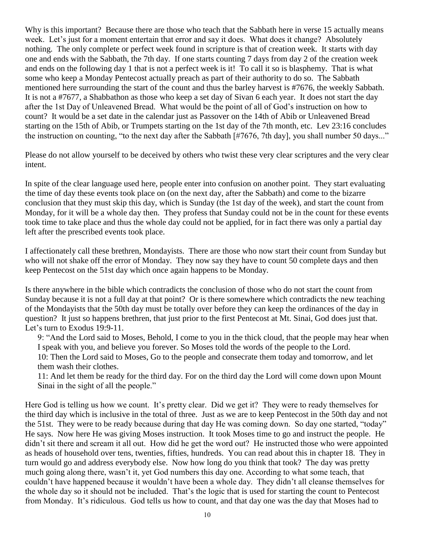Why is this important? Because there are those who teach that the Sabbath here in verse 15 actually means week. Let's just for a moment entertain that error and say it does. What does it change? Absolutely nothing. The only complete or perfect week found in scripture is that of creation week. It starts with day one and ends with the Sabbath, the 7th day. If one starts counting 7 days from day 2 of the creation week and ends on the following day 1 that is not a perfect week is it! To call it so is blasphemy. That is what some who keep a Monday Pentecost actually preach as part of their authority to do so. The Sabbath mentioned here surrounding the start of the count and thus the barley harvest is #7676, the weekly Sabbath. It is not a #7677, a Shabbathon as those who keep a set day of Sivan 6 each year. It does not start the day after the 1st Day of Unleavened Bread. What would be the point of all of God's instruction on how to count? It would be a set date in the calendar just as Passover on the 14th of Abib or Unleavened Bread starting on the 15th of Abib, or Trumpets starting on the 1st day of the 7th month, etc. Lev 23:16 concludes the instruction on counting, "to the next day after the Sabbath [#7676, 7th day], you shall number 50 days..."

Please do not allow yourself to be deceived by others who twist these very clear scriptures and the very clear intent.

In spite of the clear language used here, people enter into confusion on another point. They start evaluating the time of day these events took place on (on the next day, after the Sabbath) and come to the bizarre conclusion that they must skip this day, which is Sunday (the 1st day of the week), and start the count from Monday, for it will be a whole day then. They profess that Sunday could not be in the count for these events took time to take place and thus the whole day could not be applied, for in fact there was only a partial day left after the prescribed events took place.

I affectionately call these brethren, Mondayists. There are those who now start their count from Sunday but who will not shake off the error of Monday. They now say they have to count 50 complete days and then keep Pentecost on the 51st day which once again happens to be Monday.

Is there anywhere in the bible which contradicts the conclusion of those who do not start the count from Sunday because it is not a full day at that point? Or is there somewhere which contradicts the new teaching of the Mondayists that the 50th day must be totally over before they can keep the ordinances of the day in question? It just so happens brethren, that just prior to the first Pentecost at Mt. Sinai, God does just that. Let's turn to Exodus 19:9-11.

9: "And the Lord said to Moses, Behold, I come to you in the thick cloud, that the people may hear when I speak with you, and believe you forever. So Moses told the words of the people to the Lord. 10: Then the Lord said to Moses, Go to the people and consecrate them today and tomorrow, and let them wash their clothes.

11: And let them be ready for the third day. For on the third day the Lord will come down upon Mount Sinai in the sight of all the people."

Here God is telling us how we count. It's pretty clear. Did we get it? They were to ready themselves for the third day which is inclusive in the total of three. Just as we are to keep Pentecost in the 50th day and not the 51st. They were to be ready because during that day He was coming down. So day one started, "today" He says. Now here He was giving Moses instruction. It took Moses time to go and instruct the people. He didn't sit there and scream it all out. How did he get the word out? He instructed those who were appointed as heads of household over tens, twenties, fifties, hundreds. You can read about this in chapter 18. They in turn would go and address everybody else. Now how long do you think that took? The day was pretty much going along there, wasn't it, yet God numbers this day one. According to what some teach, that couldn't have happened because it wouldn't have been a whole day. They didn't all cleanse themselves for the whole day so it should not be included. That's the logic that is used for starting the count to Pentecost from Monday. It's ridiculous. God tells us how to count, and that day one was the day that Moses had to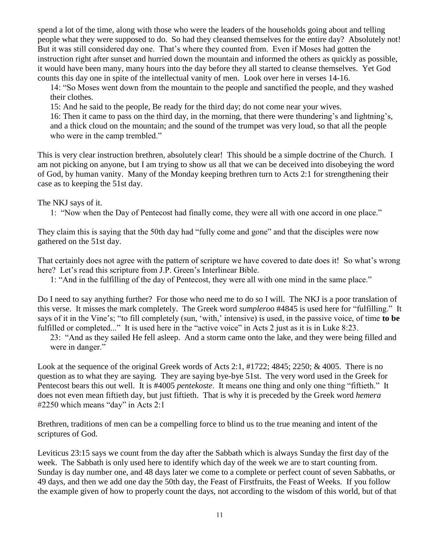spend a lot of the time, along with those who were the leaders of the households going about and telling people what they were supposed to do. So had they cleansed themselves for the entire day? Absolutely not! But it was still considered day one. That's where they counted from. Even if Moses had gotten the instruction right after sunset and hurried down the mountain and informed the others as quickly as possible, it would have been many, many hours into the day before they all started to cleanse themselves. Yet God counts this day one in spite of the intellectual vanity of men. Look over here in verses 14-16.

14: "So Moses went down from the mountain to the people and sanctified the people, and they washed their clothes.

15: And he said to the people, Be ready for the third day; do not come near your wives.

16: Then it came to pass on the third day, in the morning, that there were thundering's and lightning's, and a thick cloud on the mountain; and the sound of the trumpet was very loud, so that all the people who were in the camp trembled."

This is very clear instruction brethren, absolutely clear! This should be a simple doctrine of the Church. I am not picking on anyone, but I am trying to show us all that we can be deceived into disobeying the word of God, by human vanity. Many of the Monday keeping brethren turn to Acts 2:1 for strengthening their case as to keeping the 51st day.

The NKJ says of it.

1: "Now when the Day of Pentecost had finally come, they were all with one accord in one place."

They claim this is saying that the 50th day had "fully come and gone" and that the disciples were now gathered on the 51st day.

That certainly does not agree with the pattern of scripture we have covered to date does it! So what's wrong here? Let's read this scripture from J.P. Green's Interlinear Bible.

1: "And in the fulfilling of the day of Pentecost, they were all with one mind in the same place."

Do I need to say anything further? For those who need me to do so I will. The NKJ is a poor translation of this verse. It misses the mark completely. The Greek word *sumpleroo* #4845 is used here for "fulfilling." It says of it in the Vine's; "to fill completely (sun, 'with,' intensive) is used, in the passive voice, of time **to be** fulfilled or completed..." It is used here in the "active voice" in Acts 2 just as it is in Luke 8:23.

23: "And as they sailed He fell asleep. And a storm came onto the lake, and they were being filled and were in danger."

Look at the sequence of the original Greek words of Acts 2:1, #1722; 4845; 2250; & 4005. There is no question as to what they are saying. They are saying bye-bye 51st. The very word used in the Greek for Pentecost bears this out well. It is #4005 *pentekoste*. It means one thing and only one thing "fiftieth." It does not even mean fiftieth day, but just fiftieth. That is why it is preceded by the Greek word *hemera* #2250 which means "day" in Acts 2:1

Brethren, traditions of men can be a compelling force to blind us to the true meaning and intent of the scriptures of God.

Leviticus 23:15 says we count from the day after the Sabbath which is always Sunday the first day of the week. The Sabbath is only used here to identify which day of the week we are to start counting from. Sunday is day number one, and 48 days later we come to a complete or perfect count of seven Sabbaths, or 49 days, and then we add one day the 50th day, the Feast of Firstfruits, the Feast of Weeks. If you follow the example given of how to properly count the days, not according to the wisdom of this world, but of that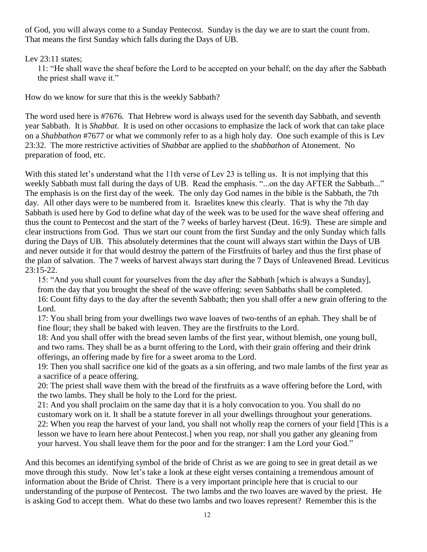of God, you will always come to a Sunday Pentecost. Sunday is the day we are to start the count from. That means the first Sunday which falls during the Days of UB.

Lev 23:11 states:

11: "He shall wave the sheaf before the Lord to be accepted on your behalf; on the day after the Sabbath the priest shall wave it."

How do we know for sure that this is the weekly Sabbath?

The word used here is #7676. That Hebrew word is always used for the seventh day Sabbath, and seventh year Sabbath. It is *Shabbat*. It is used on other occasions to emphasize the lack of work that can take place on a *Shabbathon* #7677 or what we commonly refer to as a high holy day. One such example of this is Lev 23:32. The more restrictive activities of *Shabbat* are applied to the *shabbathon* of Atonement. No preparation of food, etc.

With this stated let's understand what the 11th verse of Lev 23 is telling us. It is not implying that this weekly Sabbath must fall during the days of UB. Read the emphasis. "...on the day AFTER the Sabbath..." The emphasis is on the first day of the week. The only day God names in the bible is the Sabbath, the 7th day. All other days were to be numbered from it. Israelites knew this clearly. That is why the 7th day Sabbath is used here by God to define what day of the week was to be used for the wave sheaf offering and thus the count to Pentecost and the start of the 7 weeks of barley harvest (Deut. 16:9). These are simple and clear instructions from God. Thus we start our count from the first Sunday and the only Sunday which falls during the Days of UB. This absolutely determines that the count will always start within the Days of UB and never outside it for that would destroy the pattern of the Firstfruits of barley and thus the first phase of the plan of salvation. The 7 weeks of harvest always start during the 7 Days of Unleavened Bread. Leviticus 23:15-22.

15: "And you shall count for yourselves from the day after the Sabbath [which is always a Sunday], from the day that you brought the sheaf of the wave offering: seven Sabbaths shall be completed. 16: Count fifty days to the day after the seventh Sabbath; then you shall offer a new grain offering to the Lord.

17: You shall bring from your dwellings two wave loaves of two-tenths of an ephah. They shall be of fine flour; they shall be baked with leaven. They are the firstfruits to the Lord.

18: And you shall offer with the bread seven lambs of the first year, without blemish, one young bull, and two rams. They shall be as a burnt offering to the Lord, with their grain offering and their drink offerings, an offering made by fire for a sweet aroma to the Lord.

19: Then you shall sacrifice one kid of the goats as a sin offering, and two male lambs of the first year as a sacrifice of a peace offering.

20: The priest shall wave them with the bread of the firstfruits as a wave offering before the Lord, with the two lambs. They shall be holy to the Lord for the priest.

21: And you shall proclaim on the same day that it is a holy convocation to you. You shall do no customary work on it. It shall be a statute forever in all your dwellings throughout your generations. 22: When you reap the harvest of your land, you shall not wholly reap the corners of your field [This is a lesson we have to learn here about Pentecost.] when you reap, nor shall you gather any gleaning from your harvest. You shall leave them for the poor and for the stranger: I am the Lord your God."

And this becomes an identifying symbol of the bride of Christ as we are going to see in great detail as we move through this study. Now let's take a look at these eight verses containing a tremendous amount of information about the Bride of Christ. There is a very important principle here that is crucial to our understanding of the purpose of Pentecost. The two lambs and the two loaves are waved by the priest. He is asking God to accept them. What do these two lambs and two loaves represent? Remember this is the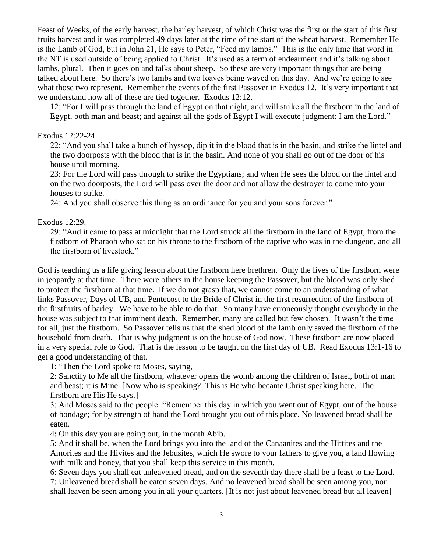Feast of Weeks, of the early harvest, the barley harvest, of which Christ was the first or the start of this first fruits harvest and it was completed 49 days later at the time of the start of the wheat harvest. Remember He is the Lamb of God, but in John 21, He says to Peter, "Feed my lambs." This is the only time that word in the NT is used outside of being applied to Christ. It's used as a term of endearment and it's talking about lambs, plural. Then it goes on and talks about sheep. So these are very important things that are being talked about here. So there's two lambs and two loaves being waved on this day. And we're going to see what those two represent. Remember the events of the first Passover in Exodus 12. It's very important that we understand how all of these are tied together. Exodus 12:12.

12: "For I will pass through the land of Egypt on that night, and will strike all the firstborn in the land of Egypt, both man and beast; and against all the gods of Egypt I will execute judgment: I am the Lord."

## Exodus 12:22-24.

22: "And you shall take a bunch of hyssop, dip it in the blood that is in the basin, and strike the lintel and the two doorposts with the blood that is in the basin. And none of you shall go out of the door of his house until morning.

23: For the Lord will pass through to strike the Egyptians; and when He sees the blood on the lintel and on the two doorposts, the Lord will pass over the door and not allow the destroyer to come into your houses to strike.

24: And you shall observe this thing as an ordinance for you and your sons forever."

#### Exodus 12:29.

29: "And it came to pass at midnight that the Lord struck all the firstborn in the land of Egypt, from the firstborn of Pharaoh who sat on his throne to the firstborn of the captive who was in the dungeon, and all the firstborn of livestock."

God is teaching us a life giving lesson about the firstborn here brethren. Only the lives of the firstborn were in jeopardy at that time. There were others in the house keeping the Passover, but the blood was only shed to protect the firstborn at that time. If we do not grasp that, we cannot come to an understanding of what links Passover, Days of UB, and Pentecost to the Bride of Christ in the first resurrection of the firstborn of the firstfruits of barley. We have to be able to do that. So many have erroneously thought everybody in the house was subject to that imminent death. Remember, many are called but few chosen. It wasn't the time for all, just the firstborn. So Passover tells us that the shed blood of the lamb only saved the firstborn of the household from death. That is why judgment is on the house of God now. These firstborn are now placed in a very special role to God. That is the lesson to be taught on the first day of UB. Read Exodus 13:1-16 to get a good understanding of that.

1: "Then the Lord spoke to Moses, saying,

2: Sanctify to Me all the firstborn, whatever opens the womb among the children of Israel, both of man and beast; it is Mine. [Now who is speaking? This is He who became Christ speaking here. The firstborn are His He says.]

3: And Moses said to the people: "Remember this day in which you went out of Egypt, out of the house of bondage; for by strength of hand the Lord brought you out of this place. No leavened bread shall be eaten.

4: On this day you are going out, in the month Abib.

5: And it shall be, when the Lord brings you into the land of the Canaanites and the Hittites and the Amorites and the Hivites and the Jebusites, which He swore to your fathers to give you, a land flowing with milk and honey, that you shall keep this service in this month.

6: Seven days you shall eat unleavened bread, and on the seventh day there shall be a feast to the Lord. 7: Unleavened bread shall be eaten seven days. And no leavened bread shall be seen among you, nor shall leaven be seen among you in all your quarters. [It is not just about leavened bread but all leaven]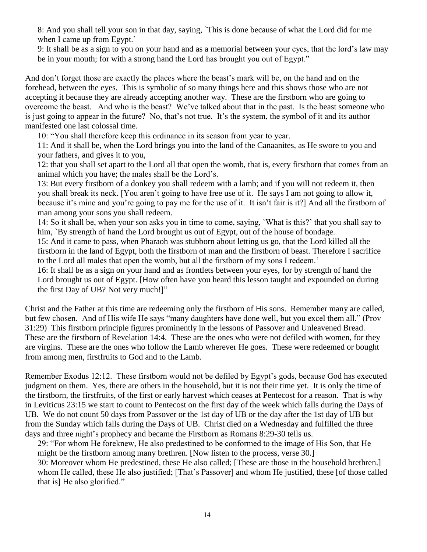8: And you shall tell your son in that day, saying, `This is done because of what the Lord did for me when I came up from Egypt.'

9: It shall be as a sign to you on your hand and as a memorial between your eyes, that the lord's law may be in your mouth; for with a strong hand the Lord has brought you out of Egypt."

And don't forget those are exactly the places where the beast's mark will be, on the hand and on the forehead, between the eyes. This is symbolic of so many things here and this shows those who are not accepting it because they are already accepting another way. These are the firstborn who are going to overcome the beast. And who is the beast? We've talked about that in the past. Is the beast someone who is just going to appear in the future? No, that's not true. It's the system, the symbol of it and its author manifested one last colossal time.

10: "You shall therefore keep this ordinance in its season from year to year.

11: And it shall be, when the Lord brings you into the land of the Canaanites, as He swore to you and your fathers, and gives it to you,

12: that you shall set apart to the Lord all that open the womb, that is, every firstborn that comes from an animal which you have; the males shall be the Lord's.

13: But every firstborn of a donkey you shall redeem with a lamb; and if you will not redeem it, then you shall break its neck. [You aren't going to have free use of it. He says I am not going to allow it, because it's mine and you're going to pay me for the use of it. It isn't fair is it?] And all the firstborn of man among your sons you shall redeem.

14: So it shall be, when your son asks you in time to come, saying, `What is this?' that you shall say to him, `By strength of hand the Lord brought us out of Egypt, out of the house of bondage.

15: And it came to pass, when Pharaoh was stubborn about letting us go, that the Lord killed all the firstborn in the land of Egypt, both the firstborn of man and the firstborn of beast. Therefore I sacrifice to the Lord all males that open the womb, but all the firstborn of my sons I redeem.'

16: It shall be as a sign on your hand and as frontlets between your eyes, for by strength of hand the Lord brought us out of Egypt. [How often have you heard this lesson taught and expounded on during the first Day of UB? Not very much!]"

Christ and the Father at this time are redeeming only the firstborn of His sons. Remember many are called, but few chosen. And of His wife He says "many daughters have done well, but you excel them all." (Prov 31:29) This firstborn principle figures prominently in the lessons of Passover and Unleavened Bread. These are the firstborn of Revelation 14:4. These are the ones who were not defiled with women, for they are virgins. These are the ones who follow the Lamb wherever He goes. These were redeemed or bought from among men, firstfruits to God and to the Lamb.

Remember Exodus 12:12. These firstborn would not be defiled by Egypt's gods, because God has executed judgment on them. Yes, there are others in the household, but it is not their time yet. It is only the time of the firstborn, the firstfruits, of the first or early harvest which ceases at Pentecost for a reason. That is why in Leviticus 23:15 we start to count to Pentecost on the first day of the week which falls during the Days of UB. We do not count 50 days from Passover or the 1st day of UB or the day after the 1st day of UB but from the Sunday which falls during the Days of UB. Christ died on a Wednesday and fulfilled the three days and three night's prophecy and became the Firstborn as Romans 8:29-30 tells us.

29: "For whom He foreknew, He also predestined to be conformed to the image of His Son, that He might be the firstborn among many brethren. [Now listen to the process, verse 30.] 30: Moreover whom He predestined, these He also called; [These are those in the household brethren.]

whom He called, these He also justified; [That's Passover] and whom He justified, these [of those called that is] He also glorified."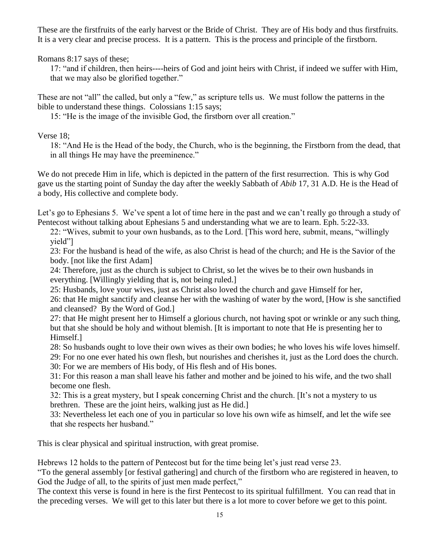These are the firstfruits of the early harvest or the Bride of Christ. They are of His body and thus firstfruits. It is a very clear and precise process. It is a pattern. This is the process and principle of the firstborn.

Romans 8:17 says of these;

17: "and if children, then heirs----heirs of God and joint heirs with Christ, if indeed we suffer with Him, that we may also be glorified together."

These are not "all" the called, but only a "few," as scripture tells us. We must follow the patterns in the bible to understand these things. Colossians 1:15 says;

15: "He is the image of the invisible God, the firstborn over all creation."

Verse 18;

18: "And He is the Head of the body, the Church, who is the beginning, the Firstborn from the dead, that in all things He may have the preeminence."

We do not precede Him in life, which is depicted in the pattern of the first resurrection. This is why God gave us the starting point of Sunday the day after the weekly Sabbath of *Abib* 17, 31 A.D. He is the Head of a body, His collective and complete body.

Let's go to Ephesians 5. We've spent a lot of time here in the past and we can't really go through a study of Pentecost without talking about Ephesians 5 and understanding what we are to learn. Eph. 5:22-33.

22: "Wives, submit to your own husbands, as to the Lord. [This word here, submit, means, "willingly yield"]

23: For the husband is head of the wife, as also Christ is head of the church; and He is the Savior of the body. [not like the first Adam]

24: Therefore, just as the church is subject to Christ, so let the wives be to their own husbands in everything. [Willingly yielding that is, not being ruled.]

25: Husbands, love your wives, just as Christ also loved the church and gave Himself for her,

26: that He might sanctify and cleanse her with the washing of water by the word, [How is she sanctified and cleansed? By the Word of God.]

27: that He might present her to Himself a glorious church, not having spot or wrinkle or any such thing, but that she should be holy and without blemish. [It is important to note that He is presenting her to Himself.]

28: So husbands ought to love their own wives as their own bodies; he who loves his wife loves himself.

29: For no one ever hated his own flesh, but nourishes and cherishes it, just as the Lord does the church.

30: For we are members of His body, of His flesh and of His bones.

31: For this reason a man shall leave his father and mother and be joined to his wife, and the two shall become one flesh.

32: This is a great mystery, but I speak concerning Christ and the church. [It's not a mystery to us brethren. These are the joint heirs, walking just as He did.]

33: Nevertheless let each one of you in particular so love his own wife as himself, and let the wife see that she respects her husband."

This is clear physical and spiritual instruction, with great promise.

Hebrews 12 holds to the pattern of Pentecost but for the time being let's just read verse 23.

"To the general assembly [or festival gathering] and church of the firstborn who are registered in heaven, to God the Judge of all, to the spirits of just men made perfect,"

The context this verse is found in here is the first Pentecost to its spiritual fulfillment. You can read that in the preceding verses. We will get to this later but there is a lot more to cover before we get to this point.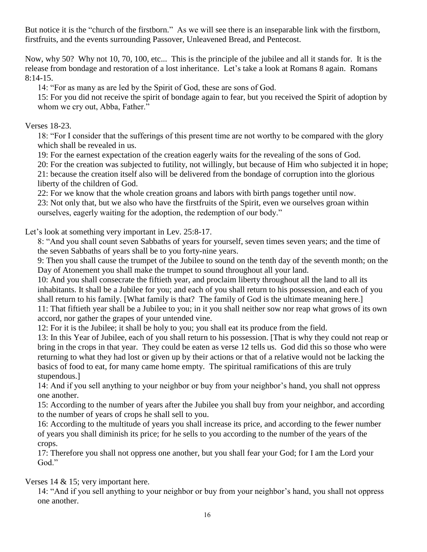But notice it is the "church of the firstborn." As we will see there is an inseparable link with the firstborn, firstfruits, and the events surrounding Passover, Unleavened Bread, and Pentecost.

Now, why 50? Why not 10, 70, 100, etc... This is the principle of the jubilee and all it stands for. It is the release from bondage and restoration of a lost inheritance. Let's take a look at Romans 8 again. Romans 8:14-15.

14: "For as many as are led by the Spirit of God, these are sons of God.

15: For you did not receive the spirit of bondage again to fear, but you received the Spirit of adoption by whom we cry out, Abba, Father."

Verses 18-23.

18: "For I consider that the sufferings of this present time are not worthy to be compared with the glory which shall be revealed in us.

19: For the earnest expectation of the creation eagerly waits for the revealing of the sons of God.

20: For the creation was subjected to futility, not willingly, but because of Him who subjected it in hope; 21: because the creation itself also will be delivered from the bondage of corruption into the glorious

liberty of the children of God.

22: For we know that the whole creation groans and labors with birth pangs together until now.

23: Not only that, but we also who have the firstfruits of the Spirit, even we ourselves groan within ourselves, eagerly waiting for the adoption, the redemption of our body."

Let's look at something very important in Lev. 25:8-17.

8: "And you shall count seven Sabbaths of years for yourself, seven times seven years; and the time of the seven Sabbaths of years shall be to you forty-nine years.

9: Then you shall cause the trumpet of the Jubilee to sound on the tenth day of the seventh month; on the Day of Atonement you shall make the trumpet to sound throughout all your land.

10: And you shall consecrate the fiftieth year, and proclaim liberty throughout all the land to all its inhabitants. It shall be a Jubilee for you; and each of you shall return to his possession, and each of you shall return to his family. [What family is that? The family of God is the ultimate meaning here.] 11: That fiftieth year shall be a Jubilee to you; in it you shall neither sow nor reap what grows of its own accord, nor gather the grapes of your untended vine.

12: For it is the Jubilee; it shall be holy to you; you shall eat its produce from the field.

13: In this Year of Jubilee, each of you shall return to his possession. [That is why they could not reap or bring in the crops in that year. They could be eaten as verse 12 tells us. God did this so those who were returning to what they had lost or given up by their actions or that of a relative would not be lacking the basics of food to eat, for many came home empty. The spiritual ramifications of this are truly stupendous.]

14: And if you sell anything to your neighbor or buy from your neighbor's hand, you shall not oppress one another.

15: According to the number of years after the Jubilee you shall buy from your neighbor, and according to the number of years of crops he shall sell to you.

16: According to the multitude of years you shall increase its price, and according to the fewer number of years you shall diminish its price; for he sells to you according to the number of the years of the crops.

17: Therefore you shall not oppress one another, but you shall fear your God; for I am the Lord your God."

Verses 14 & 15; very important here.

14: "And if you sell anything to your neighbor or buy from your neighbor's hand, you shall not oppress one another.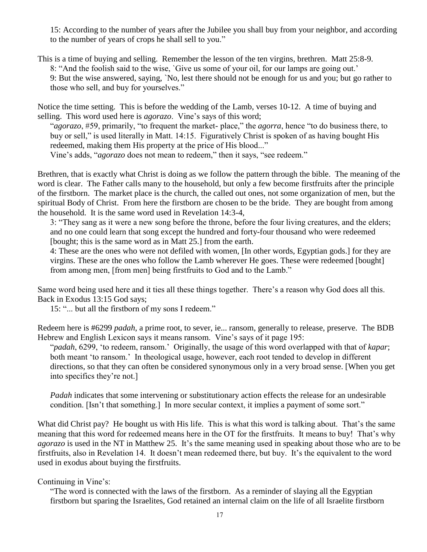15: According to the number of years after the Jubilee you shall buy from your neighbor, and according to the number of years of crops he shall sell to you."

This is a time of buying and selling. Remember the lesson of the ten virgins, brethren. Matt 25:8-9. 8: "And the foolish said to the wise, `Give us some of your oil, for our lamps are going out.' 9: But the wise answered, saying, `No, lest there should not be enough for us and you; but go rather to those who sell, and buy for yourselves."

Notice the time setting. This is before the wedding of the Lamb, verses 10-12. A time of buying and selling. This word used here is *agorazo*. Vine's says of this word;

"*agorazo*, #59, primarily, "to frequent the market- place," the *agorra*, hence "to do business there, to buy or sell," is used literally in Matt. 14:15. Figuratively Christ is spoken of as having bought His redeemed, making them His property at the price of His blood..." Vine's adds, "*agorazo* does not mean to redeem," then it says, "see redeem."

Brethren, that is exactly what Christ is doing as we follow the pattern through the bible. The meaning of the word is clear. The Father calls many to the household, but only a few become firstfruits after the principle of the firstborn. The market place is the church, the called out ones, not some organization of men, but the spiritual Body of Christ. From here the firstborn are chosen to be the bride. They are bought from among the household. It is the same word used in Revelation 14:3-4,

3: "They sang as it were a new song before the throne, before the four living creatures, and the elders; and no one could learn that song except the hundred and forty-four thousand who were redeemed [bought; this is the same word as in Matt 25.] from the earth.

4: These are the ones who were not defiled with women, [In other words, Egyptian gods.] for they are virgins. These are the ones who follow the Lamb wherever He goes. These were redeemed [bought] from among men, [from men] being firstfruits to God and to the Lamb."

Same word being used here and it ties all these things together. There's a reason why God does all this. Back in Exodus 13:15 God says;

15: "... but all the firstborn of my sons I redeem."

Redeem here is #6299 *padah*, a prime root, to sever, ie... ransom, generally to release, preserve. The BDB Hebrew and English Lexicon says it means ransom. Vine's says of it page 195:

"*padah*, 6299, 'to redeem, ransom.' Originally, the usage of this word overlapped with that of *kapar*; both meant 'to ransom.' In theological usage, however, each root tended to develop in different directions, so that they can often be considered synonymous only in a very broad sense. [When you get into specifics they're not.]

*Padah* indicates that some intervening or substitutionary action effects the release for an undesirable condition. [Isn't that something.] In more secular context, it implies a payment of some sort."

What did Christ pay? He bought us with His life. This is what this word is talking about. That's the same meaning that this word for redeemed means here in the OT for the firstfruits. It means to buy! That's why *agorazo* is used in the NT in Matthew 25. It's the same meaning used in speaking about those who are to be firstfruits, also in Revelation 14. It doesn't mean redeemed there, but buy. It's the equivalent to the word used in exodus about buying the firstfruits.

# Continuing in Vine's:

"The word is connected with the laws of the firstborn. As a reminder of slaying all the Egyptian firstborn but sparing the Israelites, God retained an internal claim on the life of all Israelite firstborn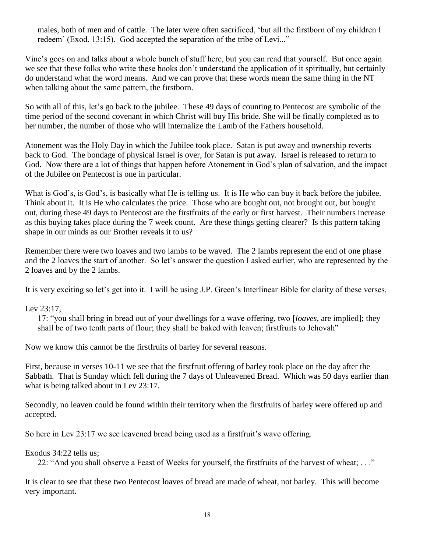males, both of men and of cattle. The later were often sacrificed, 'but all the firstborn of my children I redeem' (Exod. 13:15). God accepted the separation of the tribe of Levi..."

Vine's goes on and talks about a whole bunch of stuff here, but you can read that yourself. But once again we see that these folks who write these books don't understand the application of it spiritually, but certainly do understand what the word means. And we can prove that these words mean the same thing in the NT when talking about the same pattern, the firstborn.

So with all of this, let's go back to the jubilee. These 49 days of counting to Pentecost are symbolic of the time period of the second covenant in which Christ will buy His bride. She will be finally completed as to her number, the number of those who will internalize the Lamb of the Fathers household.

Atonement was the Holy Day in which the Jubilee took place. Satan is put away and ownership reverts back to God. The bondage of physical Israel is over, for Satan is put away. Israel is released to return to God. Now there are a lot of things that happen before Atonement in God's plan of salvation, and the impact of the Jubilee on Pentecost is one in particular.

What is God's, is God's, is basically what He is telling us. It is He who can buy it back before the jubilee. Think about it. It is He who calculates the price. Those who are bought out, not brought out, but bought out, during these 49 days to Pentecost are the firstfruits of the early or first harvest. Their numbers increase as this buying takes place during the 7 week count. Are these things getting clearer? Is this pattern taking shape in our minds as our Brother reveals it to us?

Remember there were two loaves and two lambs to be waved. The 2 lambs represent the end of one phase and the 2 loaves the start of another. So let's answer the question I asked earlier, who are represented by the 2 loaves and by the 2 lambs.

It is very exciting so let's get into it. I will be using J.P. Green's Interlinear Bible for clarity of these verses.

Lev 23:17,

17: "you shall bring in bread out of your dwellings for a wave offering, two [*loaves*, are implied]; they shall be of two tenth parts of flour; they shall be baked with leaven; firstfruits to Jehovah"

Now we know this cannot be the firstfruits of barley for several reasons.

First, because in verses 10-11 we see that the firstfruit offering of barley took place on the day after the Sabbath. That is Sunday which fell during the 7 days of Unleavened Bread. Which was 50 days earlier than what is being talked about in Lev 23:17.

Secondly, no leaven could be found within their territory when the firstfruits of barley were offered up and accepted.

So here in Lev 23:17 we see leavened bread being used as a firstfruit's wave offering.

Exodus 34:22 tells us;

22: "And you shall observe a Feast of Weeks for yourself, the firstfruits of the harvest of wheat; . . ."

It is clear to see that these two Pentecost loaves of bread are made of wheat, not barley. This will become very important.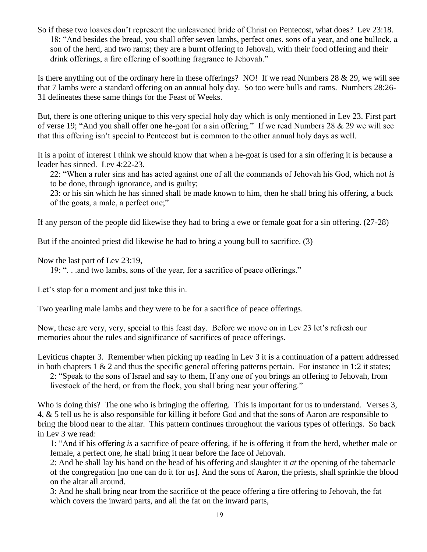So if these two loaves don't represent the unleavened bride of Christ on Pentecost, what does? Lev 23:18. 18: "And besides the bread, you shall offer seven lambs, perfect ones, sons of a year, and one bullock, a son of the herd, and two rams; they are a burnt offering to Jehovah, with their food offering and their drink offerings, a fire offering of soothing fragrance to Jehovah."

Is there anything out of the ordinary here in these offerings? NO! If we read Numbers 28 & 29, we will see that 7 lambs were a standard offering on an annual holy day. So too were bulls and rams. Numbers 28:26- 31 delineates these same things for the Feast of Weeks.

But, there is one offering unique to this very special holy day which is only mentioned in Lev 23. First part of verse 19; "And you shall offer one he-goat for a sin offering." If we read Numbers 28 & 29 we will see that this offering isn't special to Pentecost but is common to the other annual holy days as well.

It is a point of interest I think we should know that when a he-goat is used for a sin offering it is because a leader has sinned. Lev 4:22-23.

22: "When a ruler sins and has acted against one of all the commands of Jehovah his God, which not *is* to be done, through ignorance, and is guilty;

23: or his sin which he has sinned shall be made known to him, then he shall bring his offering, a buck of the goats, a male, a perfect one;"

If any person of the people did likewise they had to bring a ewe or female goat for a sin offering. (27-28)

But if the anointed priest did likewise he had to bring a young bull to sacrifice. (3)

Now the last part of Lev 23:19,

19: ". . .and two lambs, sons of the year, for a sacrifice of peace offerings."

Let's stop for a moment and just take this in.

Two yearling male lambs and they were to be for a sacrifice of peace offerings.

Now, these are very, very, special to this feast day. Before we move on in Lev 23 let's refresh our memories about the rules and significance of sacrifices of peace offerings.

Leviticus chapter 3. Remember when picking up reading in Lev 3 it is a continuation of a pattern addressed in both chapters 1 & 2 and thus the specific general offering patterns pertain. For instance in 1:2 it states;

2: "Speak to the sons of Israel and say to them, If any one of you brings an offering to Jehovah, from livestock of the herd, or from the flock, you shall bring near your offering."

Who is doing this? The one who is bringing the offering. This is important for us to understand. Verses 3, 4, & 5 tell us he is also responsible for killing it before God and that the sons of Aaron are responsible to bring the blood near to the altar. This pattern continues throughout the various types of offerings. So back in Lev 3 we read:

1: "And if his offering *is* a sacrifice of peace offering, if he is offering it from the herd, whether male or female, a perfect one, he shall bring it near before the face of Jehovah.

2: And he shall lay his hand on the head of his offering and slaughter it *at* the opening of the tabernacle of the congregation [no one can do it for us]. And the sons of Aaron, the priests, shall sprinkle the blood on the altar all around.

3: And he shall bring near from the sacrifice of the peace offering a fire offering to Jehovah, the fat which covers the inward parts, and all the fat on the inward parts,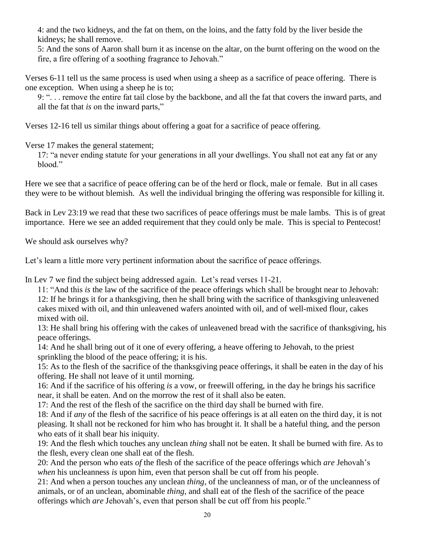4: and the two kidneys, and the fat on them, on the loins, and the fatty fold by the liver beside the kidneys; he shall remove.

5: And the sons of Aaron shall burn it as incense on the altar, on the burnt offering on the wood on the fire, a fire offering of a soothing fragrance to Jehovah."

Verses 6-11 tell us the same process is used when using a sheep as a sacrifice of peace offering. There is one exception. When using a sheep he is to;

9: ". . . remove the entire fat tail close by the backbone, and all the fat that covers the inward parts, and all the fat that *is* on the inward parts,"

Verses 12-16 tell us similar things about offering a goat for a sacrifice of peace offering.

Verse 17 makes the general statement;

17: "a never ending statute for your generations in all your dwellings. You shall not eat any fat or any blood."

Here we see that a sacrifice of peace offering can be of the herd or flock, male or female. But in all cases they were to be without blemish. As well the individual bringing the offering was responsible for killing it.

Back in Lev 23:19 we read that these two sacrifices of peace offerings must be male lambs. This is of great importance. Here we see an added requirement that they could only be male. This is special to Pentecost!

We should ask ourselves why?

Let's learn a little more very pertinent information about the sacrifice of peace offerings.

In Lev 7 we find the subject being addressed again. Let's read verses 11-21.

11: "And this *is* the law of the sacrifice of the peace offerings which shall be brought near to Jehovah: 12: If he brings it for a thanksgiving, then he shall bring with the sacrifice of thanksgiving unleavened cakes mixed with oil, and thin unleavened wafers anointed with oil, and of well-mixed flour, cakes mixed with oil.

13: He shall bring his offering with the cakes of unleavened bread with the sacrifice of thanksgiving, his peace offerings.

14: And he shall bring out of it one of every offering, a heave offering to Jehovah, to the priest sprinkling the blood of the peace offering; it is his.

15: As to the flesh of the sacrifice of the thanksgiving peace offerings, it shall be eaten in the day of his offering. He shall not leave of it until morning.

16: And if the sacrifice of his offering *is* a vow, or freewill offering, in the day he brings his sacrifice near, it shall be eaten. And on the morrow the rest of it shall also be eaten.

17: And the rest of the flesh of the sacrifice on the third day shall be burned with fire.

18: And if *any* of the flesh of the sacrifice of his peace offerings is at all eaten on the third day, it is not pleasing. It shall not be reckoned for him who has brought it. It shall be a hateful thing, and the person who eats of it shall bear his iniquity.

19: And the flesh which touches any unclean *thing* shall not be eaten. It shall be burned with fire. As to the flesh, every clean one shall eat of the flesh.

20: And the person who eats *of* the flesh of the sacrifice of the peace offerings which *are* Jehovah's *when* his uncleanness *is* upon him, even that person shall be cut off from his people.

21: And when a person touches any unclean *thing*, of the uncleanness of man, or of the uncleanness of animals, or of an unclean, abominable *thing*, and shall eat of the flesh of the sacrifice of the peace offerings which *are* Jehovah's, even that person shall be cut off from his people."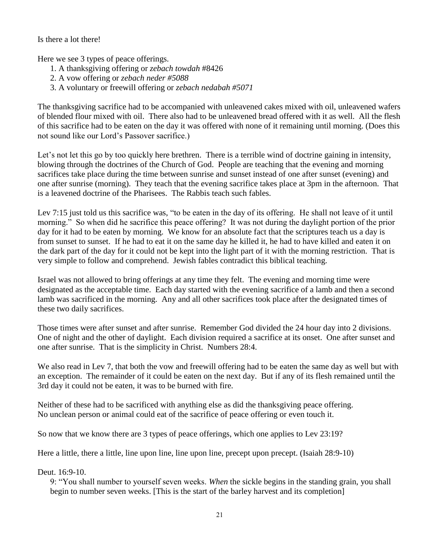Is there a lot there!

Here we see 3 types of peace offerings.

- 1. A thanksgiving offering or *zebach towdah* #8426
- 2. A vow offering or *zebach neder #5088*
- 3. A voluntary or freewill offering or *zebach nedabah #5071*

The thanksgiving sacrifice had to be accompanied with unleavened cakes mixed with oil, unleavened wafers of blended flour mixed with oil. There also had to be unleavened bread offered with it as well. All the flesh of this sacrifice had to be eaten on the day it was offered with none of it remaining until morning. (Does this not sound like our Lord's Passover sacrifice.)

Let's not let this go by too quickly here brethren. There is a terrible wind of doctrine gaining in intensity, blowing through the doctrines of the Church of God. People are teaching that the evening and morning sacrifices take place during the time between sunrise and sunset instead of one after sunset (evening) and one after sunrise (morning). They teach that the evening sacrifice takes place at 3pm in the afternoon. That is a leavened doctrine of the Pharisees. The Rabbis teach such fables.

Lev 7:15 just told us this sacrifice was, "to be eaten in the day of its offering. He shall not leave of it until morning." So when did he sacrifice this peace offering? It was not during the daylight portion of the prior day for it had to be eaten by morning. We know for an absolute fact that the scriptures teach us a day is from sunset to sunset. If he had to eat it on the same day he killed it, he had to have killed and eaten it on the dark part of the day for it could not be kept into the light part of it with the morning restriction. That is very simple to follow and comprehend. Jewish fables contradict this biblical teaching.

Israel was not allowed to bring offerings at any time they felt. The evening and morning time were designated as the acceptable time. Each day started with the evening sacrifice of a lamb and then a second lamb was sacrificed in the morning. Any and all other sacrifices took place after the designated times of these two daily sacrifices.

Those times were after sunset and after sunrise. Remember God divided the 24 hour day into 2 divisions. One of night and the other of daylight. Each division required a sacrifice at its onset. One after sunset and one after sunrise. That is the simplicity in Christ. Numbers 28:4.

We also read in Lev 7, that both the vow and freewill offering had to be eaten the same day as well but with an exception. The remainder of it could be eaten on the next day. But if any of its flesh remained until the 3rd day it could not be eaten, it was to be burned with fire.

Neither of these had to be sacrificed with anything else as did the thanksgiving peace offering. No unclean person or animal could eat of the sacrifice of peace offering or even touch it.

So now that we know there are 3 types of peace offerings, which one applies to Lev 23:19?

Here a little, there a little, line upon line, line upon line, precept upon precept. (Isaiah 28:9-10)

Deut. 16:9-10.

9: "You shall number to yourself seven weeks. *When* the sickle begins in the standing grain, you shall begin to number seven weeks. [This is the start of the barley harvest and its completion]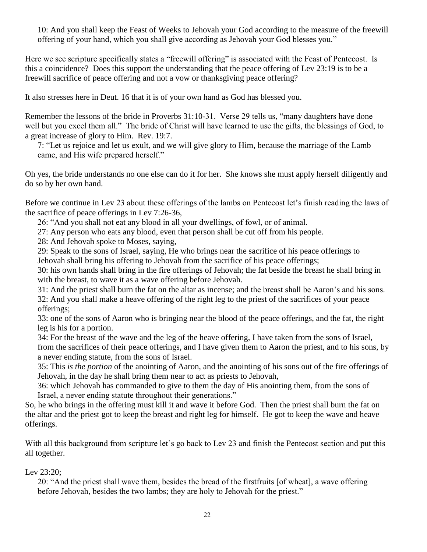10: And you shall keep the Feast of Weeks to Jehovah your God according to the measure of the freewill offering of your hand, which you shall give according as Jehovah your God blesses you."

Here we see scripture specifically states a "freewill offering" is associated with the Feast of Pentecost. Is this a coincidence? Does this support the understanding that the peace offering of Lev 23:19 is to be a freewill sacrifice of peace offering and not a vow or thanksgiving peace offering?

It also stresses here in Deut. 16 that it is of your own hand as God has blessed you.

Remember the lessons of the bride in Proverbs 31:10-31. Verse 29 tells us, "many daughters have done well but you excel them all." The bride of Christ will have learned to use the gifts, the blessings of God, to a great increase of glory to Him. Rev. 19:7.

7: "Let us rejoice and let us exult, and we will give glory to Him, because the marriage of the Lamb came, and His wife prepared herself."

Oh yes, the bride understands no one else can do it for her. She knows she must apply herself diligently and do so by her own hand.

Before we continue in Lev 23 about these offerings of the lambs on Pentecost let's finish reading the laws of the sacrifice of peace offerings in Lev 7:26-36,

26: "And you shall not eat any blood in all your dwellings, of fowl, or of animal.

27: Any person who eats any blood, even that person shall be cut off from his people.

28: And Jehovah spoke to Moses, saying,

29: Speak to the sons of Israel, saying, He who brings near the sacrifice of his peace offerings to Jehovah shall bring his offering to Jehovah from the sacrifice of his peace offerings;

30: his own hands shall bring in the fire offerings of Jehovah; the fat beside the breast he shall bring in with the breast, to wave it as a wave offering before Jehovah.

31: And the priest shall burn the fat on the altar as incense; and the breast shall be Aaron's and his sons. 32: And you shall make a heave offering of the right leg to the priest of the sacrifices of your peace offerings;

33: one of the sons of Aaron who is bringing near the blood of the peace offerings, and the fat, the right leg is his for a portion.

34: For the breast of the wave and the leg of the heave offering, I have taken from the sons of Israel, from the sacrifices of their peace offerings, and I have given them to Aaron the priest, and to his sons, by a never ending statute, from the sons of Israel.

35: This *is the portion* of the anointing of Aaron, and the anointing of his sons out of the fire offerings of Jehovah, in the day he shall bring them near to act as priests to Jehovah,

36: which Jehovah has commanded to give to them the day of His anointing them, from the sons of Israel, a never ending statute throughout their generations."

So, he who brings in the offering must kill it and wave it before God. Then the priest shall burn the fat on the altar and the priest got to keep the breast and right leg for himself. He got to keep the wave and heave offerings.

With all this background from scripture let's go back to Lev 23 and finish the Pentecost section and put this all together.

Lev 23:20;

20: "And the priest shall wave them, besides the bread of the firstfruits [of wheat], a wave offering before Jehovah, besides the two lambs; they are holy to Jehovah for the priest."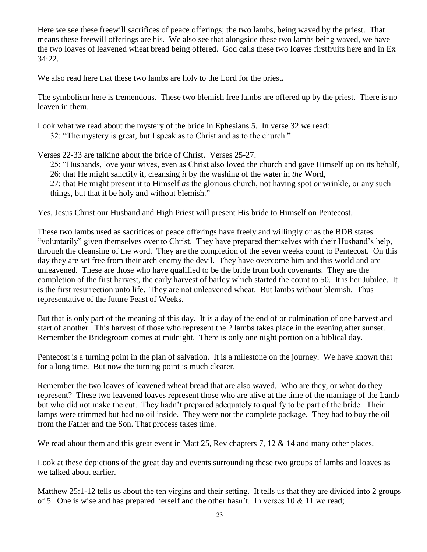Here we see these freewill sacrifices of peace offerings; the two lambs, being waved by the priest. That means these freewill offerings are his. We also see that alongside these two lambs being waved, we have the two loaves of leavened wheat bread being offered. God calls these two loaves firstfruits here and in Ex 34:22.

We also read here that these two lambs are holy to the Lord for the priest.

The symbolism here is tremendous. These two blemish free lambs are offered up by the priest. There is no leaven in them.

Look what we read about the mystery of the bride in Ephesians 5. In verse 32 we read: 32: "The mystery is great, but I speak as to Christ and as to the church."

Verses 22-33 are talking about the bride of Christ. Verses 25-27.

25: "Husbands, love your wives, even as Christ also loved the church and gave Himself up on its behalf, 26: that He might sanctify it, cleansing *it* by the washing of the water in *the* Word, 27: that He might present it to Himself *as* the glorious church, not having spot or wrinkle, or any such things, but that it be holy and without blemish."

Yes, Jesus Christ our Husband and High Priest will present His bride to Himself on Pentecost.

These two lambs used as sacrifices of peace offerings have freely and willingly or as the BDB states "voluntarily" given themselves over to Christ. They have prepared themselves with their Husband's help, through the cleansing of the word. They are the completion of the seven weeks count to Pentecost. On this day they are set free from their arch enemy the devil. They have overcome him and this world and are unleavened. These are those who have qualified to be the bride from both covenants. They are the completion of the first harvest, the early harvest of barley which started the count to 50. It is her Jubilee. It is the first resurrection unto life. They are not unleavened wheat. But lambs without blemish. Thus representative of the future Feast of Weeks.

But that is only part of the meaning of this day. It is a day of the end of or culmination of one harvest and start of another. This harvest of those who represent the 2 lambs takes place in the evening after sunset. Remember the Bridegroom comes at midnight. There is only one night portion on a biblical day.

Pentecost is a turning point in the plan of salvation. It is a milestone on the journey. We have known that for a long time. But now the turning point is much clearer.

Remember the two loaves of leavened wheat bread that are also waved. Who are they, or what do they represent? These two leavened loaves represent those who are alive at the time of the marriage of the Lamb but who did not make the cut. They hadn't prepared adequately to qualify to be part of the bride. Their lamps were trimmed but had no oil inside. They were not the complete package. They had to buy the oil from the Father and the Son. That process takes time.

We read about them and this great event in Matt 25, Rev chapters 7, 12 & 14 and many other places.

Look at these depictions of the great day and events surrounding these two groups of lambs and loaves as we talked about earlier.

Matthew 25:1-12 tells us about the ten virgins and their setting. It tells us that they are divided into 2 groups of 5. One is wise and has prepared herself and the other hasn't. In verses  $10 \& 11$  we read;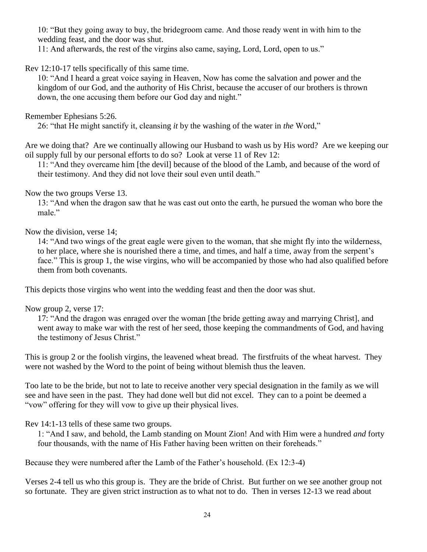10: "But they going away to buy, the bridegroom came. And those ready went in with him to the wedding feast, and the door was shut.

11: And afterwards, the rest of the virgins also came, saying, Lord, Lord, open to us."

Rev 12:10-17 tells specifically of this same time.

10: "And I heard a great voice saying in Heaven, Now has come the salvation and power and the kingdom of our God, and the authority of His Christ, because the accuser of our brothers is thrown down, the one accusing them before our God day and night."

Remember Ephesians 5:26.

26: "that He might sanctify it, cleansing *it* by the washing of the water in *the* Word,"

Are we doing that? Are we continually allowing our Husband to wash us by His word? Are we keeping our oil supply full by our personal efforts to do so? Look at verse 11 of Rev 12:

11: "And they overcame him [the devil] because of the blood of the Lamb, and because of the word of their testimony. And they did not love their soul even until death."

# Now the two groups Verse 13.

13: "And when the dragon saw that he was cast out onto the earth, he pursued the woman who bore the male."

# Now the division, verse 14;

14: "And two wings of the great eagle were given to the woman, that she might fly into the wilderness, to her place, where she is nourished there a time, and times, and half a time, away from the serpent's face." This is group 1, the wise virgins, who will be accompanied by those who had also qualified before them from both covenants.

This depicts those virgins who went into the wedding feast and then the door was shut.

Now group 2, verse 17:

17: "And the dragon was enraged over the woman [the bride getting away and marrying Christ], and went away to make war with the rest of her seed, those keeping the commandments of God, and having the testimony of Jesus Christ."

This is group 2 or the foolish virgins, the leavened wheat bread. The firstfruits of the wheat harvest. They were not washed by the Word to the point of being without blemish thus the leaven.

Too late to be the bride, but not to late to receive another very special designation in the family as we will see and have seen in the past. They had done well but did not excel. They can to a point be deemed a "vow" offering for they will vow to give up their physical lives.

Rev 14:1-13 tells of these same two groups.

1: "And I saw, and behold, the Lamb standing on Mount Zion! And with Him were a hundred *and* forty four thousands, with the name of His Father having been written on their foreheads."

Because they were numbered after the Lamb of the Father's household. (Ex 12:3-4)

Verses 2-4 tell us who this group is. They are the bride of Christ. But further on we see another group not so fortunate. They are given strict instruction as to what not to do. Then in verses 12-13 we read about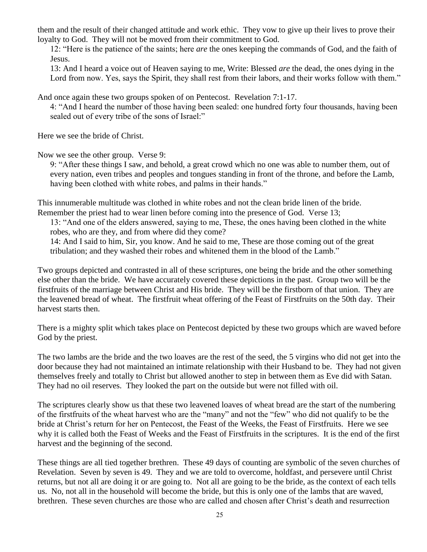them and the result of their changed attitude and work ethic. They vow to give up their lives to prove their loyalty to God. They will not be moved from their commitment to God.

12: "Here is the patience of the saints; here *are* the ones keeping the commands of God, and the faith of Jesus.

13: And I heard a voice out of Heaven saying to me, Write: Blessed *are* the dead, the ones dying in the Lord from now. Yes, says the Spirit, they shall rest from their labors, and their works follow with them."

And once again these two groups spoken of on Pentecost. Revelation 7:1-17.

4: "And I heard the number of those having been sealed: one hundred forty four thousands, having been sealed out of every tribe of the sons of Israel:"

Here we see the bride of Christ.

Now we see the other group. Verse 9:

9: "After these things I saw, and behold, a great crowd which no one was able to number them, out of every nation, even tribes and peoples and tongues standing in front of the throne, and before the Lamb, having been clothed with white robes, and palms in their hands."

This innumerable multitude was clothed in white robes and not the clean bride linen of the bride. Remember the priest had to wear linen before coming into the presence of God. Verse 13;

13: "And one of the elders answered, saying to me, These, the ones having been clothed in the white robes, who are they, and from where did they come?

14: And I said to him, Sir, you know. And he said to me, These are those coming out of the great tribulation; and they washed their robes and whitened them in the blood of the Lamb."

Two groups depicted and contrasted in all of these scriptures, one being the bride and the other something else other than the bride. We have accurately covered these depictions in the past. Group two will be the firstfruits of the marriage between Christ and His bride. They will be the firstborn of that union. They are the leavened bread of wheat. The firstfruit wheat offering of the Feast of Firstfruits on the 50th day. Their harvest starts then.

There is a mighty split which takes place on Pentecost depicted by these two groups which are waved before God by the priest.

The two lambs are the bride and the two loaves are the rest of the seed, the 5 virgins who did not get into the door because they had not maintained an intimate relationship with their Husband to be. They had not given themselves freely and totally to Christ but allowed another to step in between them as Eve did with Satan. They had no oil reserves. They looked the part on the outside but were not filled with oil.

The scriptures clearly show us that these two leavened loaves of wheat bread are the start of the numbering of the firstfruits of the wheat harvest who are the "many" and not the "few" who did not qualify to be the bride at Christ's return for her on Pentecost, the Feast of the Weeks, the Feast of Firstfruits. Here we see why it is called both the Feast of Weeks and the Feast of Firstfruits in the scriptures. It is the end of the first harvest and the beginning of the second.

These things are all tied together brethren. These 49 days of counting are symbolic of the seven churches of Revelation. Seven by seven is 49. They and we are told to overcome, holdfast, and persevere until Christ returns, but not all are doing it or are going to. Not all are going to be the bride, as the context of each tells us. No, not all in the household will become the bride, but this is only one of the lambs that are waved, brethren. These seven churches are those who are called and chosen after Christ's death and resurrection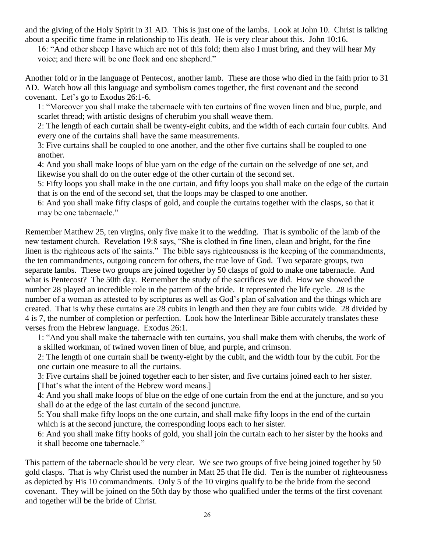and the giving of the Holy Spirit in 31 AD. This is just one of the lambs. Look at John 10. Christ is talking about a specific time frame in relationship to His death. He is very clear about this. John 10:16.

16: "And other sheep I have which are not of this fold; them also I must bring, and they will hear My voice; and there will be one flock and one shepherd."

Another fold or in the language of Pentecost, another lamb. These are those who died in the faith prior to 31 AD. Watch how all this language and symbolism comes together, the first covenant and the second covenant. Let's go to Exodus 26:1-6.

1: "Moreover you shall make the tabernacle with ten curtains of fine woven linen and blue, purple, and scarlet thread; with artistic designs of cherubim you shall weave them.

2: The length of each curtain shall be twenty-eight cubits, and the width of each curtain four cubits. And every one of the curtains shall have the same measurements.

3: Five curtains shall be coupled to one another, and the other five curtains shall be coupled to one another.

4: And you shall make loops of blue yarn on the edge of the curtain on the selvedge of one set, and likewise you shall do on the outer edge of the other curtain of the second set.

5: Fifty loops you shall make in the one curtain, and fifty loops you shall make on the edge of the curtain that is on the end of the second set, that the loops may be clasped to one another.

6: And you shall make fifty clasps of gold, and couple the curtains together with the clasps, so that it may be one tabernacle."

Remember Matthew 25, ten virgins, only five make it to the wedding. That is symbolic of the lamb of the new testament church. Revelation 19:8 says, "She is clothed in fine linen, clean and bright, for the fine linen is the righteous acts of the saints." The bible says righteousness is the keeping of the commandments, the ten commandments, outgoing concern for others, the true love of God. Two separate groups, two separate lambs. These two groups are joined together by 50 clasps of gold to make one tabernacle. And what is Pentecost? The 50th day. Remember the study of the sacrifices we did. How we showed the number 28 played an incredible role in the pattern of the bride. It represented the life cycle. 28 is the number of a woman as attested to by scriptures as well as God's plan of salvation and the things which are created. That is why these curtains are 28 cubits in length and then they are four cubits wide. 28 divided by 4 is 7, the number of completion or perfection. Look how the Interlinear Bible accurately translates these verses from the Hebrew language. Exodus 26:1.

1: "And you shall make the tabernacle with ten curtains, you shall make them with cherubs, the work of a skilled workman, of twined woven linen of blue, and purple, and crimson.

2: The length of one curtain shall be twenty-eight by the cubit, and the width four by the cubit. For the one curtain one measure to all the curtains.

3: Five curtains shall be joined together each to her sister, and five curtains joined each to her sister. [That's what the intent of the Hebrew word means.]

4: And you shall make loops of blue on the edge of one curtain from the end at the juncture, and so you shall do at the edge of the last curtain of the second juncture.

5: You shall make fifty loops on the one curtain, and shall make fifty loops in the end of the curtain which is at the second juncture, the corresponding loops each to her sister.

6: And you shall make fifty hooks of gold, you shall join the curtain each to her sister by the hooks and it shall become one tabernacle."

This pattern of the tabernacle should be very clear. We see two groups of five being joined together by 50 gold clasps. That is why Christ used the number in Matt 25 that He did. Ten is the number of righteousness as depicted by His 10 commandments. Only 5 of the 10 virgins qualify to be the bride from the second covenant. They will be joined on the 50th day by those who qualified under the terms of the first covenant and together will be the bride of Christ.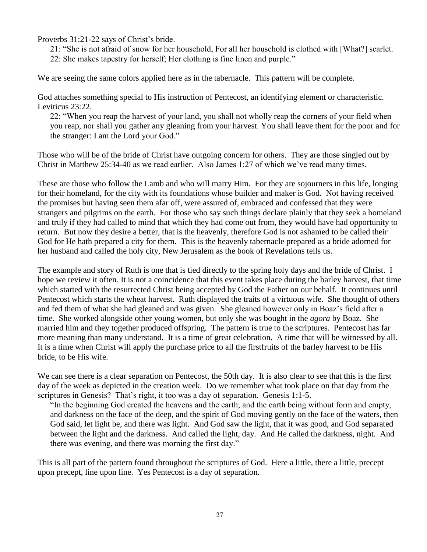Proverbs 31:21-22 says of Christ's bride.

21: "She is not afraid of snow for her household, For all her household is clothed with [What?] scarlet. 22: She makes tapestry for herself; Her clothing is fine linen and purple."

We are seeing the same colors applied here as in the tabernacle. This pattern will be complete.

God attaches something special to His instruction of Pentecost, an identifying element or characteristic. Leviticus 23:22.

22: "When you reap the harvest of your land, you shall not wholly reap the corners of your field when you reap, nor shall you gather any gleaning from your harvest. You shall leave them for the poor and for the stranger: I am the Lord your God."

Those who will be of the bride of Christ have outgoing concern for others. They are those singled out by Christ in Matthew 25:34-40 as we read earlier. Also James 1:27 of which we've read many times.

These are those who follow the Lamb and who will marry Him. For they are sojourners in this life, longing for their homeland, for the city with its foundations whose builder and maker is God. Not having received the promises but having seen them afar off, were assured of, embraced and confessed that they were strangers and pilgrims on the earth. For those who say such things declare plainly that they seek a homeland and truly if they had called to mind that which they had come out from, they would have had opportunity to return. But now they desire a better, that is the heavenly, therefore God is not ashamed to be called their God for He hath prepared a city for them. This is the heavenly tabernacle prepared as a bride adorned for her husband and called the holy city, New Jerusalem as the book of Revelations tells us.

The example and story of Ruth is one that is tied directly to the spring holy days and the bride of Christ. I hope we review it often. It is not a coincidence that this event takes place during the barley harvest, that time which started with the resurrected Christ being accepted by God the Father on our behalf. It continues until Pentecost which starts the wheat harvest. Ruth displayed the traits of a virtuous wife. She thought of others and fed them of what she had gleaned and was given. She gleaned however only in Boaz's field after a time. She worked alongside other young women, but only she was bought in the *agora* by Boaz. She married him and they together produced offspring. The pattern is true to the scriptures. Pentecost has far more meaning than many understand. It is a time of great celebration. A time that will be witnessed by all. It is a time when Christ will apply the purchase price to all the firstfruits of the barley harvest to be His bride, to be His wife.

We can see there is a clear separation on Pentecost, the 50th day. It is also clear to see that this is the first day of the week as depicted in the creation week. Do we remember what took place on that day from the scriptures in Genesis? That's right, it too was a day of separation. Genesis 1:1-5.

"In the beginning God created the heavens and the earth; and the earth being without form and empty, and darkness on the face of the deep, and the spirit of God moving gently on the face of the waters, then God said, let light be, and there was light. And God saw the light, that it was good, and God separated between the light and the darkness. And called the light, day. And He called the darkness, night. And there was evening, and there was morning the first day."

This is all part of the pattern found throughout the scriptures of God. Here a little, there a little, precept upon precept, line upon line. Yes Pentecost is a day of separation.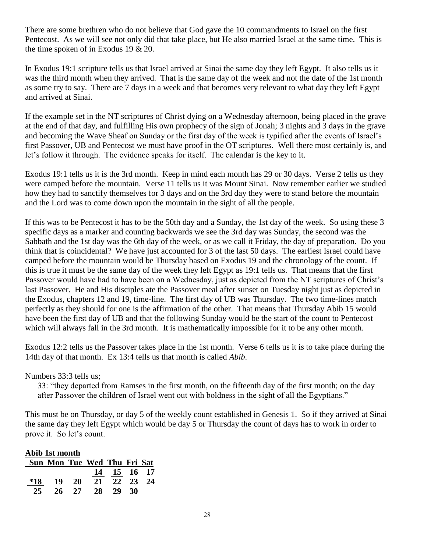There are some brethren who do not believe that God gave the 10 commandments to Israel on the first Pentecost. As we will see not only did that take place, but He also married Israel at the same time. This is the time spoken of in Exodus 19 & 20.

In Exodus 19:1 scripture tells us that Israel arrived at Sinai the same day they left Egypt. It also tells us it was the third month when they arrived. That is the same day of the week and not the date of the 1st month as some try to say. There are 7 days in a week and that becomes very relevant to what day they left Egypt and arrived at Sinai.

If the example set in the NT scriptures of Christ dying on a Wednesday afternoon, being placed in the grave at the end of that day, and fulfilling His own prophecy of the sign of Jonah; 3 nights and 3 days in the grave and becoming the Wave Sheaf on Sunday or the first day of the week is typified after the events of Israel's first Passover, UB and Pentecost we must have proof in the OT scriptures. Well there most certainly is, and let's follow it through. The evidence speaks for itself. The calendar is the key to it.

Exodus 19:1 tells us it is the 3rd month. Keep in mind each month has 29 or 30 days. Verse 2 tells us they were camped before the mountain. Verse 11 tells us it was Mount Sinai. Now remember earlier we studied how they had to sanctify themselves for 3 days and on the 3rd day they were to stand before the mountain and the Lord was to come down upon the mountain in the sight of all the people.

If this was to be Pentecost it has to be the 50th day and a Sunday, the 1st day of the week. So using these 3 specific days as a marker and counting backwards we see the 3rd day was Sunday, the second was the Sabbath and the 1st day was the 6th day of the week, or as we call it Friday, the day of preparation. Do you think that is coincidental? We have just accounted for 3 of the last 50 days. The earliest Israel could have camped before the mountain would be Thursday based on Exodus 19 and the chronology of the count. If this is true it must be the same day of the week they left Egypt as 19:1 tells us. That means that the first Passover would have had to have been on a Wednesday, just as depicted from the NT scriptures of Christ's last Passover. He and His disciples ate the Passover meal after sunset on Tuesday night just as depicted in the Exodus, chapters 12 and 19, time-line. The first day of UB was Thursday. The two time-lines match perfectly as they should for one is the affirmation of the other. That means that Thursday Abib 15 would have been the first day of UB and that the following Sunday would be the start of the count to Pentecost which will always fall in the 3rd month. It is mathematically impossible for it to be any other month.

Exodus 12:2 tells us the Passover takes place in the 1st month. Verse 6 tells us it is to take place during the 14th day of that month. Ex 13:4 tells us that month is called *Abib*.

Numbers 33:3 tells us;

33: "they departed from Ramses in the first month, on the fifteenth day of the first month; on the day after Passover the children of Israel went out with boldness in the sight of all the Egyptians."

This must be on Thursday, or day 5 of the weekly count established in Genesis 1. So if they arrived at Sinai the same day they left Egypt which would be day 5 or Thursday the count of days has to work in order to prove it. So let's count.

| Abib 1st month |                             |           |       |             |    |  |
|----------------|-----------------------------|-----------|-------|-------------|----|--|
|                | Sun Mon Tue Wed Thu Fri Sat |           |       |             |    |  |
|                |                             |           |       | 14 15 16 17 |    |  |
| $*18$          | -19                         | <b>20</b> | 21    | 22 23 24    |    |  |
| 25             | 26                          |           | 27 28 | 29          | 30 |  |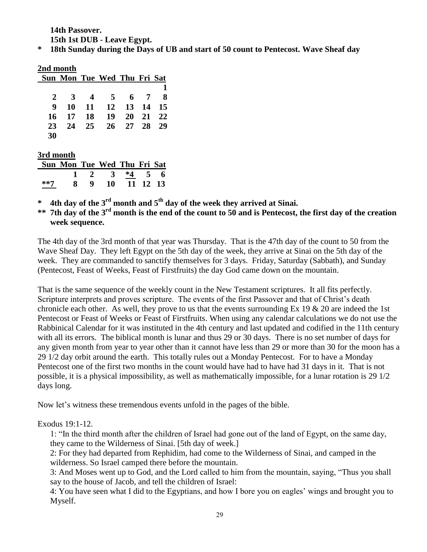**14th Passover. 15th 1st DUB - Leave Egypt.**

**\* 18th Sunday during the Days of UB and start of 50 count to Pentecost. Wave Sheaf day**

# **2nd month**

|              | Sun Mon Tue Wed Thu Fri Sat |                   |  |  |
|--------------|-----------------------------|-------------------|--|--|
|              |                             |                   |  |  |
|              | 2 3 4 5 6 7 8               |                   |  |  |
| $\mathbf{Q}$ |                             | 10 11 12 13 14 15 |  |  |
|              | 16 17 18 19 20 21 22        |                   |  |  |
| 23           |                             | 24 25 26 27 28 29 |  |  |
| 30           |                             |                   |  |  |

## **3rd month**

| Sun Mon Tue Wed Thu Fri Sat |                          |  |  |
|-----------------------------|--------------------------|--|--|
|                             | $1 \t2 \t3 \t*4 \t5 \t6$ |  |  |
|                             | 8 9 10 11 12 13          |  |  |

**\* 4th day of the 3rd month and 5th day of the week they arrived at Sinai.**

**\*\* 7th day of the 3rd month is the end of the count to 50 and is Pentecost, the first day of the creation week sequence.**

The 4th day of the 3rd month of that year was Thursday. That is the 47th day of the count to 50 from the Wave Sheaf Day. They left Egypt on the 5th day of the week, they arrive at Sinai on the 5th day of the week. They are commanded to sanctify themselves for 3 days. Friday, Saturday (Sabbath), and Sunday (Pentecost, Feast of Weeks, Feast of Firstfruits) the day God came down on the mountain.

That is the same sequence of the weekly count in the New Testament scriptures. It all fits perfectly. Scripture interprets and proves scripture. The events of the first Passover and that of Christ's death chronicle each other. As well, they prove to us that the events surrounding Ex 19  $\&$  20 are indeed the 1st Pentecost or Feast of Weeks or Feast of Firstfruits. When using any calendar calculations we do not use the Rabbinical Calendar for it was instituted in the 4th century and last updated and codified in the 11th century with all its errors. The biblical month is lunar and thus 29 or 30 days. There is no set number of days for any given month from year to year other than it cannot have less than 29 or more than 30 for the moon has a 29 1/2 day orbit around the earth. This totally rules out a Monday Pentecost. For to have a Monday Pentecost one of the first two months in the count would have had to have had 31 days in it. That is not possible, it is a physical impossibility, as well as mathematically impossible, for a lunar rotation is 29 1/2 days long.

Now let's witness these tremendous events unfold in the pages of the bible.

## Exodus 19:1-12.

1: "In the third month after the children of Israel had gone out of the land of Egypt, on the same day, they came to the Wilderness of Sinai. [5th day of week.]

2: For they had departed from Rephidim, had come to the Wilderness of Sinai, and camped in the wilderness. So Israel camped there before the mountain.

3: And Moses went up to God, and the Lord called to him from the mountain, saying, "Thus you shall say to the house of Jacob, and tell the children of Israel:

4: You have seen what I did to the Egyptians, and how I bore you on eagles' wings and brought you to Myself.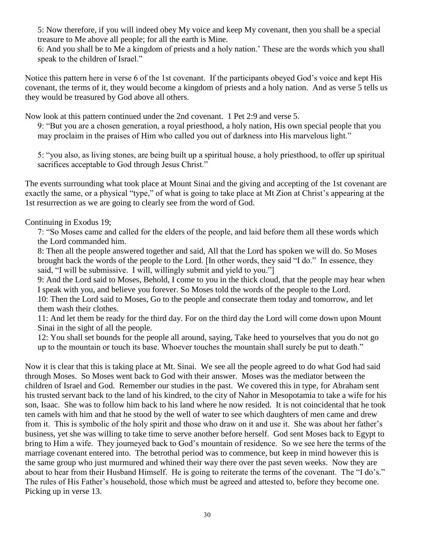5: Now therefore, if you will indeed obey My voice and keep My covenant, then you shall be a special treasure to Me above all people; for all the earth is Mine.

6: And you shall be to Me a kingdom of priests and a holy nation.' These are the words which you shall speak to the children of Israel."

Notice this pattern here in verse 6 of the 1st covenant. If the participants obeyed God's voice and kept His covenant, the terms of it, they would become a kingdom of priests and a holy nation. And as verse 5 tells us they would be treasured by God above all others.

Now look at this pattern continued under the 2nd covenant. 1 Pet 2:9 and verse 5.

9: "But you are a chosen generation, a royal priesthood, a holy nation, His own special people that you may proclaim in the praises of Him who called you out of darkness into His marvelous light."

5: "you also, as living stones, are being built up a spiritual house, a holy priesthood, to offer up spiritual sacrifices acceptable to God through Jesus Christ."

The events surrounding what took place at Mount Sinai and the giving and accepting of the 1st covenant are exactly the same, or a physical "type," of what is going to take place at Mt Zion at Christ's appearing at the 1st resurrection as we are going to clearly see from the word of God.

Continuing in Exodus 19;

7: "So Moses came and called for the elders of the people, and laid before them all these words which the Lord commanded him.

8: Then all the people answered together and said, All that the Lord has spoken we will do. So Moses brought back the words of the people to the Lord. [In other words, they said "I do." In essence, they said, "I will be submissive. I will, willingly submit and yield to you."]

9: And the Lord said to Moses, Behold, I come to you in the thick cloud, that the people may hear when I speak with you, and believe you forever. So Moses told the words of the people to the Lord.

10: Then the Lord said to Moses, Go to the people and consecrate them today and tomorrow, and let them wash their clothes.

11: And let them be ready for the third day. For on the third day the Lord will come down upon Mount Sinai in the sight of all the people.

12: You shall set bounds for the people all around, saying, Take heed to yourselves that you do not go up to the mountain or touch its base. Whoever touches the mountain shall surely be put to death."

Now it is clear that this is taking place at Mt. Sinai. We see all the people agreed to do what God had said through Moses. So Moses went back to God with their answer. Moses was the mediator between the children of Israel and God. Remember our studies in the past. We covered this in type, for Abraham sent his trusted servant back to the land of his kindred, to the city of Nahor in Mesopotamia to take a wife for his son, Isaac. She was to follow him back to his land where he now resided. It is not coincidental that he took ten camels with him and that he stood by the well of water to see which daughters of men came and drew from it. This is symbolic of the holy spirit and those who draw on it and use it. She was about her father's business, yet she was willing to take time to serve another before herself. God sent Moses back to Egypt to bring to Him a wife. They journeyed back to God's mountain of residence. So we see here the terms of the marriage covenant entered into. The betrothal period was to commence, but keep in mind however this is the same group who just murmured and whined their way there over the past seven weeks. Now they are about to hear from their Husband Himself. He is going to reiterate the terms of the covenant. The "I do's." The rules of His Father's household, those which must be agreed and attested to, before they become one. Picking up in verse 13.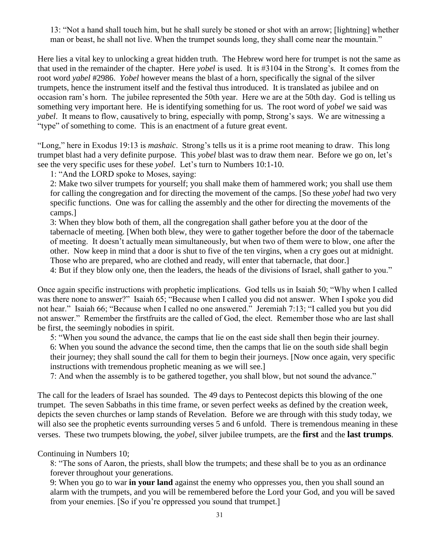13: "Not a hand shall touch him, but he shall surely be stoned or shot with an arrow; [lightning] whether man or beast, he shall not live. When the trumpet sounds long, they shall come near the mountain."

Here lies a vital key to unlocking a great hidden truth. The Hebrew word here for trumpet is not the same as that used in the remainder of the chapter. Here *yobel* is used. It is #3104 in the Strong's. It comes from the root word *yabel* #2986. *Yobel* however means the blast of a horn, specifically the signal of the silver trumpets, hence the instrument itself and the festival thus introduced. It is translated as jubilee and on occasion ram's horn. The jubilee represented the 50th year. Here we are at the 50th day. God is telling us something very important here. He is identifying something for us. The root word of *yobel* we said was *yabel*. It means to flow, causatively to bring, especially with pomp, Strong's says. We are witnessing a "type" of something to come. This is an enactment of a future great event.

"Long," here in Exodus 19:13 is *mashaic*. Strong's tells us it is a prime root meaning to draw. This long trumpet blast had a very definite purpose. This *yobel* blast was to draw them near. Before we go on, let's see the very specific uses for these *yobel*. Let's turn to Numbers 10:1-10.

1: "And the LORD spoke to Moses, saying:

2: Make two silver trumpets for yourself; you shall make them of hammered work; you shall use them for calling the congregation and for directing the movement of the camps. [So these *yobel* had two very specific functions. One was for calling the assembly and the other for directing the movements of the camps.]

3: When they blow both of them, all the congregation shall gather before you at the door of the tabernacle of meeting. [When both blew, they were to gather together before the door of the tabernacle of meeting. It doesn't actually mean simultaneously, but when two of them were to blow, one after the other. Now keep in mind that a door is shut to five of the ten virgins, when a cry goes out at midnight. Those who are prepared, who are clothed and ready, will enter that tabernacle, that door.]

4: But if they blow only one, then the leaders, the heads of the divisions of Israel, shall gather to you."

Once again specific instructions with prophetic implications. God tells us in Isaiah 50; "Why when I called was there none to answer?" Isaiah 65; "Because when I called you did not answer. When I spoke you did not hear." Isaiah 66; "Because when I called no one answered." Jeremiah 7:13; "I called you but you did not answer." Remember the firstfruits are the called of God, the elect. Remember those who are last shall be first, the seemingly nobodies in spirit.

5: "When you sound the advance, the camps that lie on the east side shall then begin their journey. 6: When you sound the advance the second time, then the camps that lie on the south side shall begin their journey; they shall sound the call for them to begin their journeys. [Now once again, very specific instructions with tremendous prophetic meaning as we will see.]

7: And when the assembly is to be gathered together, you shall blow, but not sound the advance."

The call for the leaders of Israel has sounded. The 49 days to Pentecost depicts this blowing of the one trumpet. The seven Sabbaths in this time frame, or seven perfect weeks as defined by the creation week, depicts the seven churches or lamp stands of Revelation. Before we are through with this study today, we will also see the prophetic events surrounding verses 5 and 6 unfold. There is tremendous meaning in these verses. These two trumpets blowing, the *yobel*, silver jubilee trumpets, are the **first** and the **last trumps**.

Continuing in Numbers 10;

8: "The sons of Aaron, the priests, shall blow the trumpets; and these shall be to you as an ordinance forever throughout your generations.

9: When you go to war **in your land** against the enemy who oppresses you, then you shall sound an alarm with the trumpets, and you will be remembered before the Lord your God, and you will be saved from your enemies. [So if you're oppressed you sound that trumpet.]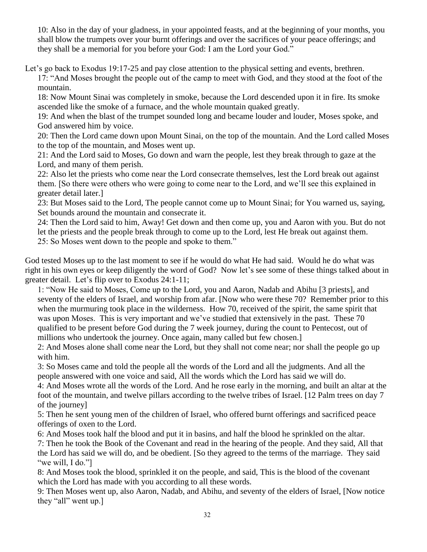10: Also in the day of your gladness, in your appointed feasts, and at the beginning of your months, you shall blow the trumpets over your burnt offerings and over the sacrifices of your peace offerings; and they shall be a memorial for you before your God: I am the Lord your God."

Let's go back to Exodus 19:17-25 and pay close attention to the physical setting and events, brethren.

17: "And Moses brought the people out of the camp to meet with God, and they stood at the foot of the mountain.

18: Now Mount Sinai was completely in smoke, because the Lord descended upon it in fire. Its smoke ascended like the smoke of a furnace, and the whole mountain quaked greatly.

19: And when the blast of the trumpet sounded long and became louder and louder, Moses spoke, and God answered him by voice.

20: Then the Lord came down upon Mount Sinai, on the top of the mountain. And the Lord called Moses to the top of the mountain, and Moses went up.

21: And the Lord said to Moses, Go down and warn the people, lest they break through to gaze at the Lord, and many of them perish.

22: Also let the priests who come near the Lord consecrate themselves, lest the Lord break out against them. [So there were others who were going to come near to the Lord, and we'll see this explained in greater detail later.]

23: But Moses said to the Lord, The people cannot come up to Mount Sinai; for You warned us, saying, Set bounds around the mountain and consecrate it.

24: Then the Lord said to him, Away! Get down and then come up, you and Aaron with you. But do not let the priests and the people break through to come up to the Lord, lest He break out against them. 25: So Moses went down to the people and spoke to them."

God tested Moses up to the last moment to see if he would do what He had said. Would he do what was right in his own eyes or keep diligently the word of God? Now let's see some of these things talked about in greater detail. Let's flip over to Exodus 24:1-11;

1: "Now He said to Moses, Come up to the Lord, you and Aaron, Nadab and Abihu [3 priests], and seventy of the elders of Israel, and worship from afar. [Now who were these 70? Remember prior to this when the murmuring took place in the wilderness. How 70, received of the spirit, the same spirit that was upon Moses. This is very important and we've studied that extensively in the past. These 70 qualified to be present before God during the 7 week journey, during the count to Pentecost, out of millions who undertook the journey. Once again, many called but few chosen.

2: And Moses alone shall come near the Lord, but they shall not come near; nor shall the people go up with him.

3: So Moses came and told the people all the words of the Lord and all the judgments. And all the people answered with one voice and said, All the words which the Lord has said we will do.

4: And Moses wrote all the words of the Lord. And he rose early in the morning, and built an altar at the foot of the mountain, and twelve pillars according to the twelve tribes of Israel. [12 Palm trees on day 7 of the journey]

5: Then he sent young men of the children of Israel, who offered burnt offerings and sacrificed peace offerings of oxen to the Lord.

6: And Moses took half the blood and put it in basins, and half the blood he sprinkled on the altar. 7: Then he took the Book of the Covenant and read in the hearing of the people. And they said, All that the Lord has said we will do, and be obedient. [So they agreed to the terms of the marriage. They said "we will, I do."

8: And Moses took the blood, sprinkled it on the people, and said, This is the blood of the covenant which the Lord has made with you according to all these words.

9: Then Moses went up, also Aaron, Nadab, and Abihu, and seventy of the elders of Israel, [Now notice they "all" went up.]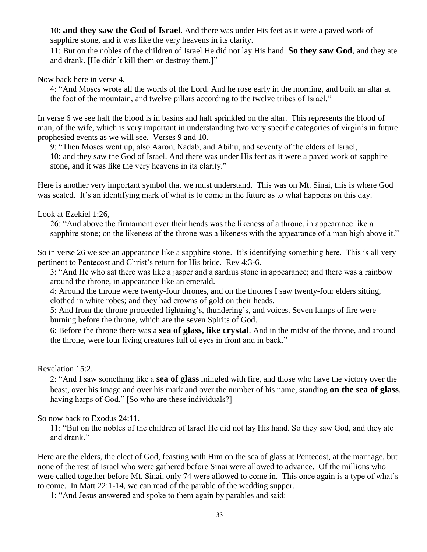10: **and they saw the God of Israel**. And there was under His feet as it were a paved work of sapphire stone, and it was like the very heavens in its clarity.

11: But on the nobles of the children of Israel He did not lay His hand. **So they saw God**, and they ate and drank. [He didn't kill them or destroy them.]"

Now back here in verse 4.

4: "And Moses wrote all the words of the Lord. And he rose early in the morning, and built an altar at the foot of the mountain, and twelve pillars according to the twelve tribes of Israel."

In verse 6 we see half the blood is in basins and half sprinkled on the altar. This represents the blood of man, of the wife, which is very important in understanding two very specific categories of virgin's in future prophesied events as we will see. Verses 9 and 10.

9: "Then Moses went up, also Aaron, Nadab, and Abihu, and seventy of the elders of Israel, 10: and they saw the God of Israel. And there was under His feet as it were a paved work of sapphire stone, and it was like the very heavens in its clarity."

Here is another very important symbol that we must understand. This was on Mt. Sinai, this is where God was seated. It's an identifying mark of what is to come in the future as to what happens on this day.

Look at Ezekiel 1:26,

26: "And above the firmament over their heads was the likeness of a throne, in appearance like a sapphire stone; on the likeness of the throne was a likeness with the appearance of a man high above it."

So in verse 26 we see an appearance like a sapphire stone. It's identifying something here. This is all very pertinent to Pentecost and Christ's return for His bride. Rev 4:3-6.

3: "And He who sat there was like a jasper and a sardius stone in appearance; and there was a rainbow around the throne, in appearance like an emerald.

4: Around the throne were twenty-four thrones, and on the thrones I saw twenty-four elders sitting, clothed in white robes; and they had crowns of gold on their heads.

5: And from the throne proceeded lightning's, thundering's, and voices. Seven lamps of fire were burning before the throne, which are the seven Spirits of God.

6: Before the throne there was a **sea of glass, like crystal**. And in the midst of the throne, and around the throne, were four living creatures full of eyes in front and in back."

Revelation 15:2.

2: "And I saw something like a **sea of glass** mingled with fire, and those who have the victory over the beast, over his image and over his mark and over the number of his name, standing **on the sea of glass**, having harps of God." [So who are these individuals?]

So now back to Exodus 24:11.

11: "But on the nobles of the children of Israel He did not lay His hand. So they saw God, and they ate and drank."

Here are the elders, the elect of God, feasting with Him on the sea of glass at Pentecost, at the marriage, but none of the rest of Israel who were gathered before Sinai were allowed to advance. Of the millions who were called together before Mt. Sinai, only 74 were allowed to come in. This once again is a type of what's to come. In Matt 22:1-14, we can read of the parable of the wedding supper.

1: "And Jesus answered and spoke to them again by parables and said: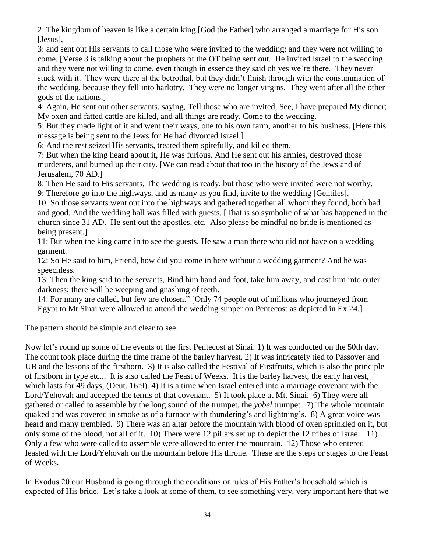2: The kingdom of heaven is like a certain king [God the Father] who arranged a marriage for His son [Jesus],

3: and sent out His servants to call those who were invited to the wedding; and they were not willing to come. [Verse 3 is talking about the prophets of the OT being sent out. He invited Israel to the wedding and they were not willing to come, even though in essence they said oh yes we're there. They never stuck with it. They were there at the betrothal, but they didn't finish through with the consummation of the wedding, because they fell into harlotry. They were no longer virgins. They went after all the other gods of the nations.]

4: Again, He sent out other servants, saying, Tell those who are invited, See, I have prepared My dinner; My oxen and fatted cattle are killed, and all things are ready. Come to the wedding.

5: But they made light of it and went their ways, one to his own farm, another to his business. [Here this message is being sent to the Jews for He had divorced Israel.]

6: And the rest seized His servants, treated them spitefully, and killed them.

7: But when the king heard about it, He was furious. And He sent out his armies, destroyed those murderers, and burned up their city. [We can read about that too in the history of the Jews and of Jerusalem, 70 AD.]

8: Then He said to His servants, The wedding is ready, but those who were invited were not worthy. 9: Therefore go into the highways, and as many as you find, invite to the wedding [Gentiles].

10: So those servants went out into the highways and gathered together all whom they found, both bad and good. And the wedding hall was filled with guests. [That is so symbolic of what has happened in the church since 31 AD. He sent out the apostles, etc. Also please be mindful no bride is mentioned as being present.<sup>1</sup>

11: But when the king came in to see the guests, He saw a man there who did not have on a wedding garment.

12: So He said to him, Friend, how did you come in here without a wedding garment? And he was speechless.

13: Then the king said to the servants, Bind him hand and foot, take him away, and cast him into outer darkness; there will be weeping and gnashing of teeth.

14: For many are called, but few are chosen." [Only 74 people out of millions who journeyed from Egypt to Mt Sinai were allowed to attend the wedding supper on Pentecost as depicted in Ex 24.]

The pattern should be simple and clear to see.

Now let's round up some of the events of the first Pentecost at Sinai. 1) It was conducted on the 50th day. The count took place during the time frame of the barley harvest. 2) It was intricately tied to Passover and UB and the lessons of the firstborn. 3) It is also called the Festival of Firstfruits, which is also the principle of firstborn in type etc... It is also called the Feast of Weeks. It is the barley harvest, the early harvest, which lasts for 49 days, (Deut. 16:9). 4) It is a time when Israel entered into a marriage covenant with the Lord/Yehovah and accepted the terms of that covenant. 5) It took place at Mt. Sinai. 6) They were all gathered or called to assemble by the long sound of the trumpet, the *yobel* trumpet. 7) The whole mountain quaked and was covered in smoke as of a furnace with thundering's and lightning's. 8) A great voice was heard and many trembled. 9) There was an altar before the mountain with blood of oxen sprinkled on it, but only some of the blood, not all of it. 10) There were 12 pillars set up to depict the 12 tribes of Israel. 11) Only a few who were called to assemble were allowed to enter the mountain. 12) Those who entered feasted with the Lord/Yehovah on the mountain before His throne. These are the steps or stages to the Feast of Weeks.

In Exodus 20 our Husband is going through the conditions or rules of His Father's household which is expected of His bride. Let's take a look at some of them, to see something very, very important here that we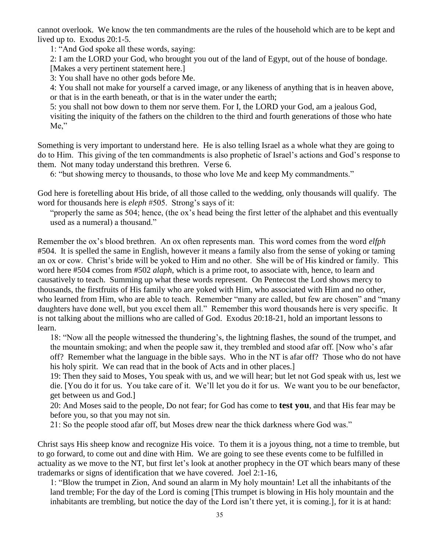cannot overlook. We know the ten commandments are the rules of the household which are to be kept and lived up to. Exodus 20:1-5.

1: "And God spoke all these words, saying:

2: I am the LORD your God, who brought you out of the land of Egypt, out of the house of bondage.

[Makes a very pertinent statement here.]

3: You shall have no other gods before Me.

4: You shall not make for yourself a carved image, or any likeness of anything that is in heaven above, or that is in the earth beneath, or that is in the water under the earth;

5: you shall not bow down to them nor serve them. For I, the LORD your God, am a jealous God, visiting the iniquity of the fathers on the children to the third and fourth generations of those who hate Me,"

Something is very important to understand here. He is also telling Israel as a whole what they are going to do to Him. This giving of the ten commandments is also prophetic of Israel's actions and God's response to them. Not many today understand this brethren. Verse 6.

6: "but showing mercy to thousands, to those who love Me and keep My commandments."

God here is foretelling about His bride, of all those called to the wedding, only thousands will qualify. The word for thousands here is *eleph* #505. Strong's says of it:

"properly the same as 504; hence, (the ox's head being the first letter of the alphabet and this eventually used as a numeral) a thousand."

Remember the ox's blood brethren. An ox often represents man. This word comes from the word *elfph* #504. It is spelled the same in English, however it means a family also from the sense of yoking or taming an ox or cow. Christ's bride will be yoked to Him and no other. She will be of His kindred or family. This word here #504 comes from #502 *alaph*, which is a prime root, to associate with, hence, to learn and causatively to teach. Summing up what these words represent. On Pentecost the Lord shows mercy to thousands, the firstfruits of His family who are yoked with Him, who associated with Him and no other, who learned from Him, who are able to teach. Remember "many are called, but few are chosen" and "many daughters have done well, but you excel them all." Remember this word thousands here is very specific. It is not talking about the millions who are called of God. Exodus 20:18-21, hold an important lessons to learn.

18: "Now all the people witnessed the thundering's, the lightning flashes, the sound of the trumpet, and the mountain smoking; and when the people saw it, they trembled and stood afar off. [Now who's afar off? Remember what the language in the bible says. Who in the NT is afar off? Those who do not have his holy spirit. We can read that in the book of Acts and in other places.]

19: Then they said to Moses, You speak with us, and we will hear; but let not God speak with us, lest we die. [You do it for us. You take care of it. We'll let you do it for us. We want you to be our benefactor, get between us and God.]

20: And Moses said to the people, Do not fear; for God has come to **test you**, and that His fear may be before you, so that you may not sin.

21: So the people stood afar off, but Moses drew near the thick darkness where God was."

Christ says His sheep know and recognize His voice. To them it is a joyous thing, not a time to tremble, but to go forward, to come out and dine with Him. We are going to see these events come to be fulfilled in actuality as we move to the NT, but first let's look at another prophecy in the OT which bears many of these trademarks or signs of identification that we have covered. Joel 2:1-16,

1: "Blow the trumpet in Zion, And sound an alarm in My holy mountain! Let all the inhabitants of the land tremble; For the day of the Lord is coming [This trumpet is blowing in His holy mountain and the inhabitants are trembling, but notice the day of the Lord isn't there yet, it is coming.], for it is at hand: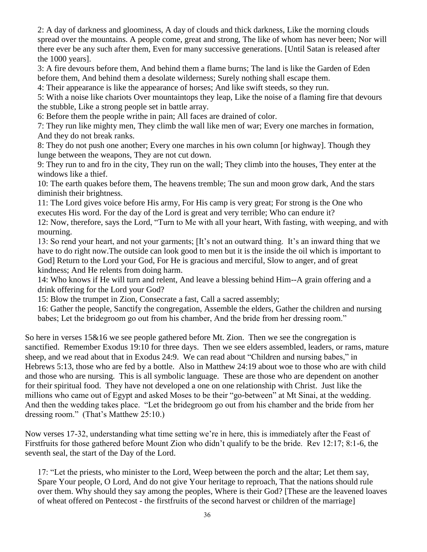2: A day of darkness and gloominess, A day of clouds and thick darkness, Like the morning clouds spread over the mountains. A people come, great and strong, The like of whom has never been; Nor will there ever be any such after them, Even for many successive generations. [Until Satan is released after the 1000 years].

3: A fire devours before them, And behind them a flame burns; The land is like the Garden of Eden before them, And behind them a desolate wilderness; Surely nothing shall escape them.

4: Their appearance is like the appearance of horses; And like swift steeds, so they run.

5: With a noise like chariots Over mountaintops they leap, Like the noise of a flaming fire that devours the stubble, Like a strong people set in battle array.

6: Before them the people writhe in pain; All faces are drained of color.

7: They run like mighty men, They climb the wall like men of war; Every one marches in formation, And they do not break ranks.

8: They do not push one another; Every one marches in his own column [or highway]. Though they lunge between the weapons, They are not cut down.

9: They run to and fro in the city, They run on the wall; They climb into the houses, They enter at the windows like a thief.

10: The earth quakes before them, The heavens tremble; The sun and moon grow dark, And the stars diminish their brightness.

11: The Lord gives voice before His army, For His camp is very great; For strong is the One who executes His word. For the day of the Lord is great and very terrible; Who can endure it?

12: Now, therefore, says the Lord, "Turn to Me with all your heart, With fasting, with weeping, and with mourning.

13: So rend your heart, and not your garments; [It's not an outward thing. It's an inward thing that we have to do right now.The outside can look good to men but it is the inside the oil which is important to God] Return to the Lord your God, For He is gracious and merciful, Slow to anger, and of great kindness; And He relents from doing harm.

14: Who knows if He will turn and relent, And leave a blessing behind Him--A grain offering and a drink offering for the Lord your God?

15: Blow the trumpet in Zion, Consecrate a fast, Call a sacred assembly;

16: Gather the people, Sanctify the congregation, Assemble the elders, Gather the children and nursing babes; Let the bridegroom go out from his chamber, And the bride from her dressing room."

So here in verses 15&16 we see people gathered before Mt. Zion. Then we see the congregation is sanctified. Remember Exodus 19:10 for three days. Then we see elders assembled, leaders, or rams, mature sheep, and we read about that in Exodus 24:9. We can read about "Children and nursing babes," in Hebrews 5:13, those who are fed by a bottle. Also in Matthew 24:19 about woe to those who are with child and those who are nursing. This is all symbolic language. These are those who are dependent on another for their spiritual food. They have not developed a one on one relationship with Christ. Just like the millions who came out of Egypt and asked Moses to be their "go-between" at Mt Sinai, at the wedding. And then the wedding takes place. "Let the bridegroom go out from his chamber and the bride from her dressing room." (That's Matthew 25:10.)

Now verses 17-32, understanding what time setting we're in here, this is immediately after the Feast of Firstfruits for those gathered before Mount Zion who didn't qualify to be the bride. Rev 12:17; 8:1-6, the seventh seal, the start of the Day of the Lord.

17: "Let the priests, who minister to the Lord, Weep between the porch and the altar; Let them say, Spare Your people, O Lord, And do not give Your heritage to reproach, That the nations should rule over them. Why should they say among the peoples, Where is their God? [These are the leavened loaves of wheat offered on Pentecost - the firstfruits of the second harvest or children of the marriage]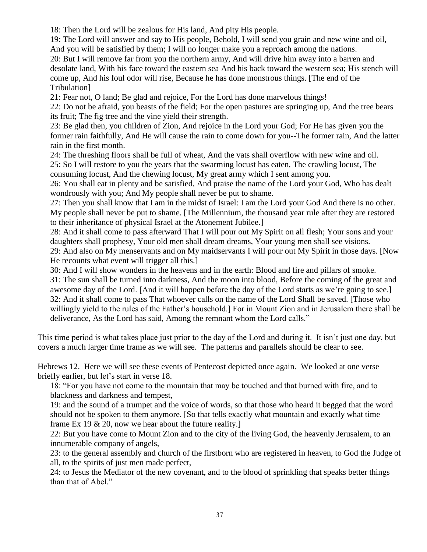18: Then the Lord will be zealous for His land, And pity His people.

19: The Lord will answer and say to His people, Behold, I will send you grain and new wine and oil, And you will be satisfied by them; I will no longer make you a reproach among the nations. 20: But I will remove far from you the northern army, And will drive him away into a barren and desolate land, With his face toward the eastern sea And his back toward the western sea; His stench will come up, And his foul odor will rise, Because he has done monstrous things. [The end of the Tribulation]

21: Fear not, O land; Be glad and rejoice, For the Lord has done marvelous things!

22: Do not be afraid, you beasts of the field; For the open pastures are springing up, And the tree bears its fruit; The fig tree and the vine yield their strength.

23: Be glad then, you children of Zion, And rejoice in the Lord your God; For He has given you the former rain faithfully, And He will cause the rain to come down for you--The former rain, And the latter rain in the first month.

24: The threshing floors shall be full of wheat, And the vats shall overflow with new wine and oil.

25: So I will restore to you the years that the swarming locust has eaten, The crawling locust, The consuming locust, And the chewing locust, My great army which I sent among you.

26: You shall eat in plenty and be satisfied, And praise the name of the Lord your God, Who has dealt wondrously with you; And My people shall never be put to shame.

27: Then you shall know that I am in the midst of Israel: I am the Lord your God And there is no other. My people shall never be put to shame. [The Millennium, the thousand year rule after they are restored to their inheritance of physical Israel at the Atonement Jubilee.]

28: And it shall come to pass afterward That I will pour out My Spirit on all flesh; Your sons and your daughters shall prophesy, Your old men shall dream dreams, Your young men shall see visions.

29: And also on My menservants and on My maidservants I will pour out My Spirit in those days. [Now He recounts what event will trigger all this.]

30: And I will show wonders in the heavens and in the earth: Blood and fire and pillars of smoke.

31: The sun shall be turned into darkness, And the moon into blood, Before the coming of the great and awesome day of the Lord. [And it will happen before the day of the Lord starts as we're going to see.] 32: And it shall come to pass That whoever calls on the name of the Lord Shall be saved. [Those who willingly yield to the rules of the Father's household.] For in Mount Zion and in Jerusalem there shall be deliverance, As the Lord has said, Among the remnant whom the Lord calls."

This time period is what takes place just prior to the day of the Lord and during it. It isn't just one day, but covers a much larger time frame as we will see. The patterns and parallels should be clear to see.

Hebrews 12. Here we will see these events of Pentecost depicted once again. We looked at one verse briefly earlier, but let's start in verse 18.

18: "For you have not come to the mountain that may be touched and that burned with fire, and to blackness and darkness and tempest,

19: and the sound of a trumpet and the voice of words, so that those who heard it begged that the word should not be spoken to them anymore. [So that tells exactly what mountain and exactly what time frame Ex 19 & 20, now we hear about the future reality.]

22: But you have come to Mount Zion and to the city of the living God, the heavenly Jerusalem, to an innumerable company of angels,

23: to the general assembly and church of the firstborn who are registered in heaven, to God the Judge of all, to the spirits of just men made perfect,

24: to Jesus the Mediator of the new covenant, and to the blood of sprinkling that speaks better things than that of Abel."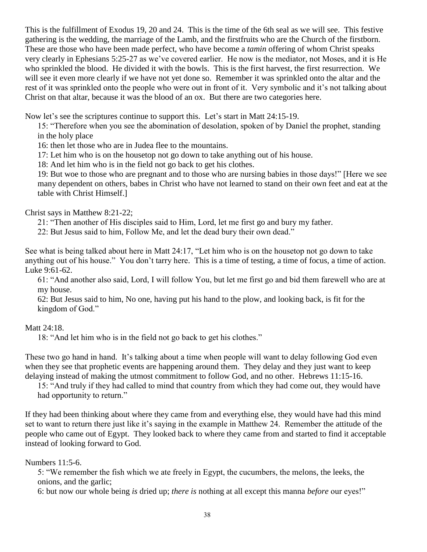This is the fulfillment of Exodus 19, 20 and 24. This is the time of the 6th seal as we will see. This festive gathering is the wedding, the marriage of the Lamb, and the firstfruits who are the Church of the firstborn. These are those who have been made perfect, who have become a *tamin* offering of whom Christ speaks very clearly in Ephesians 5:25-27 as we've covered earlier. He now is the mediator, not Moses, and it is He who sprinkled the blood. He divided it with the bowls. This is the first harvest, the first resurrection. We will see it even more clearly if we have not yet done so. Remember it was sprinkled onto the altar and the rest of it was sprinkled onto the people who were out in front of it. Very symbolic and it's not talking about Christ on that altar, because it was the blood of an ox. But there are two categories here.

Now let's see the scriptures continue to support this. Let's start in Matt 24:15-19.

15: "Therefore when you see the abomination of desolation, spoken of by Daniel the prophet, standing in the holy place

16: then let those who are in Judea flee to the mountains.

17: Let him who is on the housetop not go down to take anything out of his house.

18: And let him who is in the field not go back to get his clothes.

19: But woe to those who are pregnant and to those who are nursing babies in those days!" [Here we see many dependent on others, babes in Christ who have not learned to stand on their own feet and eat at the table with Christ Himself.]

# Christ says in Matthew 8:21-22;

21: "Then another of His disciples said to Him, Lord, let me first go and bury my father.

22: But Jesus said to him, Follow Me, and let the dead bury their own dead."

See what is being talked about here in Matt 24:17, "Let him who is on the housetop not go down to take anything out of his house." You don't tarry here. This is a time of testing, a time of focus, a time of action. Luke 9:61-62.

61: "And another also said, Lord, I will follow You, but let me first go and bid them farewell who are at my house.

62: But Jesus said to him, No one, having put his hand to the plow, and looking back, is fit for the kingdom of God."

## Matt 24:18.

18: "And let him who is in the field not go back to get his clothes."

These two go hand in hand. It's talking about a time when people will want to delay following God even when they see that prophetic events are happening around them. They delay and they just want to keep delaying instead of making the utmost commitment to follow God, and no other. Hebrews 11:15-16.

15: "And truly if they had called to mind that country from which they had come out, they would have had opportunity to return."

If they had been thinking about where they came from and everything else, they would have had this mind set to want to return there just like it's saying in the example in Matthew 24. Remember the attitude of the people who came out of Egypt. They looked back to where they came from and started to find it acceptable instead of looking forward to God.

## Numbers 11:5-6.

5: "We remember the fish which we ate freely in Egypt, the cucumbers, the melons, the leeks, the onions, and the garlic;

6: but now our whole being *is* dried up; *there is* nothing at all except this manna *before* our eyes!"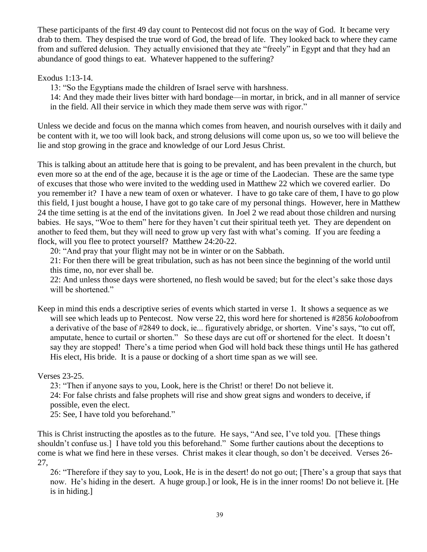These participants of the first 49 day count to Pentecost did not focus on the way of God. It became very drab to them. They despised the true word of God, the bread of life. They looked back to where they came from and suffered delusion. They actually envisioned that they ate "freely" in Egypt and that they had an abundance of good things to eat. Whatever happened to the suffering?

Exodus 1:13-14.

13: "So the Egyptians made the children of Israel serve with harshness.

14: And they made their lives bitter with hard bondage—in mortar, in brick, and in all manner of service in the field. All their service in which they made them serve *was* with rigor."

Unless we decide and focus on the manna which comes from heaven, and nourish ourselves with it daily and be content with it, we too will look back, and strong delusions will come upon us, so we too will believe the lie and stop growing in the grace and knowledge of our Lord Jesus Christ.

This is talking about an attitude here that is going to be prevalent, and has been prevalent in the church, but even more so at the end of the age, because it is the age or time of the Laodecian. These are the same type of excuses that those who were invited to the wedding used in Matthew 22 which we covered earlier. Do you remember it? I have a new team of oxen or whatever. I have to go take care of them, I have to go plow this field, I just bought a house, I have got to go take care of my personal things. However, here in Matthew 24 the time setting is at the end of the invitations given. In Joel 2 we read about those children and nursing babies. He says, "Woe to them" here for they haven't cut their spiritual teeth yet. They are dependent on another to feed them, but they will need to grow up very fast with what's coming. If you are feeding a flock, will you flee to protect yourself? Matthew 24:20-22.

20: "And pray that your flight may not be in winter or on the Sabbath.

21: For then there will be great tribulation, such as has not been since the beginning of the world until this time, no, nor ever shall be.

22: And unless those days were shortened, no flesh would be saved; but for the elect's sake those days will be shortened."

Keep in mind this ends a descriptive series of events which started in verse 1. It shows a sequence as we will see which leads up to Pentecost. Now verse 22, this word here for shortened is #2856 *koloboo*from a derivative of the base of #2849 to dock, ie... figuratively abridge, or shorten. Vine's says, "to cut off, amputate, hence to curtail or shorten." So these days are cut off or shortened for the elect. It doesn't say they are stopped! There's a time period when God will hold back these things until He has gathered His elect, His bride. It is a pause or docking of a short time span as we will see.

Verses 23-25.

23: "Then if anyone says to you, Look, here is the Christ! or there! Do not believe it.

24: For false christs and false prophets will rise and show great signs and wonders to deceive, if possible, even the elect.

25: See, I have told you beforehand."

This is Christ instructing the apostles as to the future. He says, "And see, I've told you. [These things shouldn't confuse us.] I have told you this beforehand." Some further cautions about the deceptions to come is what we find here in these verses. Christ makes it clear though, so don't be deceived. Verses 26- 27,

26: "Therefore if they say to you, Look, He is in the desert! do not go out; [There's a group that says that now. He's hiding in the desert. A huge group.] or look, He is in the inner rooms! Do not believe it. [He is in hiding.]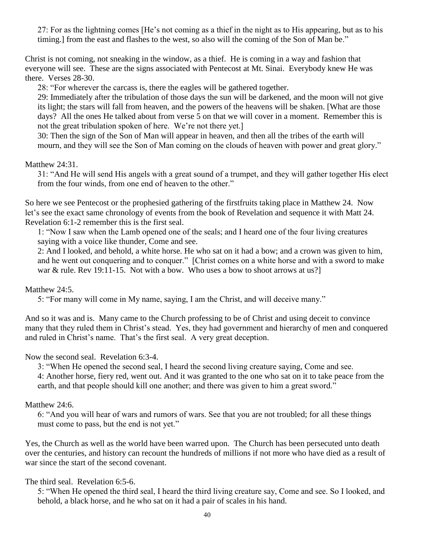27: For as the lightning comes [He's not coming as a thief in the night as to His appearing, but as to his timing.] from the east and flashes to the west, so also will the coming of the Son of Man be."

Christ is not coming, not sneaking in the window, as a thief. He is coming in a way and fashion that everyone will see. These are the signs associated with Pentecost at Mt. Sinai. Everybody knew He was there. Verses 28-30.

28: "For wherever the carcass is, there the eagles will be gathered together.

29: Immediately after the tribulation of those days the sun will be darkened, and the moon will not give its light; the stars will fall from heaven, and the powers of the heavens will be shaken. [What are those days? All the ones He talked about from verse 5 on that we will cover in a moment. Remember this is not the great tribulation spoken of here. We're not there yet.]

30: Then the sign of the Son of Man will appear in heaven, and then all the tribes of the earth will mourn, and they will see the Son of Man coming on the clouds of heaven with power and great glory."

## Matthew 24:31.

31: "And He will send His angels with a great sound of a trumpet, and they will gather together His elect from the four winds, from one end of heaven to the other."

So here we see Pentecost or the prophesied gathering of the firstfruits taking place in Matthew 24. Now let's see the exact same chronology of events from the book of Revelation and sequence it with Matt 24. Revelation 6:1-2 remember this is the first seal.

1: "Now I saw when the Lamb opened one of the seals; and I heard one of the four living creatures saying with a voice like thunder, Come and see.

2: And I looked, and behold, a white horse. He who sat on it had a bow; and a crown was given to him, and he went out conquering and to conquer." [Christ comes on a white horse and with a sword to make war & rule. Rev 19:11-15. Not with a bow. Who uses a bow to shoot arrows at us?

## Matthew 24:5.

5: "For many will come in My name, saying, I am the Christ, and will deceive many."

And so it was and is. Many came to the Church professing to be of Christ and using deceit to convince many that they ruled them in Christ's stead. Yes, they had government and hierarchy of men and conquered and ruled in Christ's name. That's the first seal. A very great deception.

Now the second seal. Revelation 6:3-4.

3: "When He opened the second seal, I heard the second living creature saying, Come and see.

4: Another horse, fiery red, went out. And it was granted to the one who sat on it to take peace from the earth, and that people should kill one another; and there was given to him a great sword."

## Matthew 24:6.

6: "And you will hear of wars and rumors of wars. See that you are not troubled; for all these things must come to pass, but the end is not yet."

Yes, the Church as well as the world have been warred upon. The Church has been persecuted unto death over the centuries, and history can recount the hundreds of millions if not more who have died as a result of war since the start of the second covenant.

## The third seal. Revelation 6:5-6.

5: "When He opened the third seal, I heard the third living creature say, Come and see. So I looked, and behold, a black horse, and he who sat on it had a pair of scales in his hand.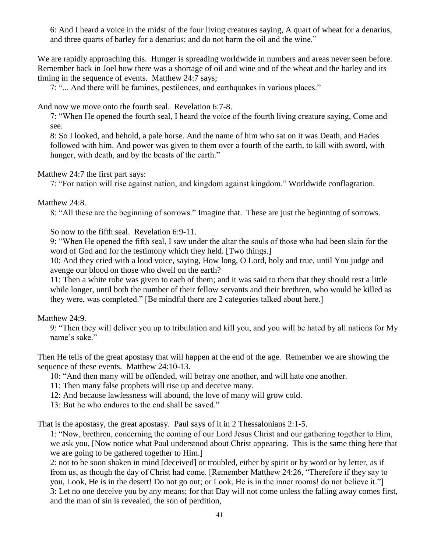6: And I heard a voice in the midst of the four living creatures saying, A quart of wheat for a denarius, and three quarts of barley for a denarius; and do not harm the oil and the wine."

We are rapidly approaching this. Hunger is spreading worldwide in numbers and areas never seen before. Remember back in Joel how there was a shortage of oil and wine and of the wheat and the barley and its timing in the sequence of events. Matthew 24:7 says;

7: "... And there will be famines, pestilences, and earthquakes in various places."

And now we move onto the fourth seal. Revelation 6:7-8.

7: "When He opened the fourth seal, I heard the voice of the fourth living creature saying, Come and see.

8: So I looked, and behold, a pale horse. And the name of him who sat on it was Death, and Hades followed with him. And power was given to them over a fourth of the earth, to kill with sword, with hunger, with death, and by the beasts of the earth."

# Matthew 24:7 the first part says:

7: "For nation will rise against nation, and kingdom against kingdom." Worldwide conflagration.

# Matthew 24:8.

8: "All these are the beginning of sorrows." Imagine that. These are just the beginning of sorrows.

So now to the fifth seal. Revelation 6:9-11.

9: "When He opened the fifth seal, I saw under the altar the souls of those who had been slain for the word of God and for the testimony which they held. [Two things.]

10: And they cried with a loud voice, saying, How long, O Lord, holy and true, until You judge and avenge our blood on those who dwell on the earth?

11: Then a white robe was given to each of them; and it was said to them that they should rest a little while longer, until both the number of their fellow servants and their brethren, who would be killed as they were, was completed." [Be mindful there are 2 categories talked about here.]

Matthew 24:9.

9: "Then they will deliver you up to tribulation and kill you, and you will be hated by all nations for My name's sake."

Then He tells of the great apostasy that will happen at the end of the age. Remember we are showing the sequence of these events. Matthew 24:10-13.

10: "And then many will be offended, will betray one another, and will hate one another.

11: Then many false prophets will rise up and deceive many.

12: And because lawlessness will abound, the love of many will grow cold.

13: But he who endures to the end shall be saved."

That is the apostasy, the great apostasy. Paul says of it in 2 Thessalonians 2:1-5.

1: "Now, brethren, concerning the coming of our Lord Jesus Christ and our gathering together to Him, we ask you, [Now notice what Paul understood about Christ appearing. This is the same thing here that we are going to be gathered together to Him.]

2: not to be soon shaken in mind [deceived] or troubled, either by spirit or by word or by letter, as if from us, as though the day of Christ had come. [Remember Matthew 24:26, "Therefore if they say to you, Look, He is in the desert! Do not go out; or Look, He is in the inner rooms! do not believe it."] 3: Let no one deceive you by any means; for that Day will not come unless the falling away comes first, and the man of sin is revealed, the son of perdition,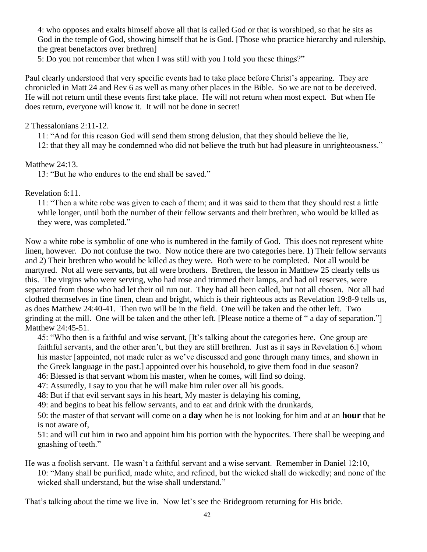4: who opposes and exalts himself above all that is called God or that is worshiped, so that he sits as God in the temple of God, showing himself that he is God. [Those who practice hierarchy and rulership, the great benefactors over brethren]

5: Do you not remember that when I was still with you I told you these things?"

Paul clearly understood that very specific events had to take place before Christ's appearing. They are chronicled in Matt 24 and Rev 6 as well as many other places in the Bible. So we are not to be deceived. He will not return until these events first take place. He will not return when most expect. But when He does return, everyone will know it. It will not be done in secret!

2 Thessalonians 2:11-12.

11: "And for this reason God will send them strong delusion, that they should believe the lie,

12: that they all may be condemned who did not believe the truth but had pleasure in unrighteousness."

Matthew 24:13.

13: "But he who endures to the end shall be saved."

Revelation 6:11.

11: "Then a white robe was given to each of them; and it was said to them that they should rest a little while longer, until both the number of their fellow servants and their brethren, who would be killed as they were, was completed."

Now a white robe is symbolic of one who is numbered in the family of God. This does not represent white linen, however. Do not confuse the two. Now notice there are two categories here. 1) Their fellow servants and 2) Their brethren who would be killed as they were. Both were to be completed. Not all would be martyred. Not all were servants, but all were brothers. Brethren, the lesson in Matthew 25 clearly tells us this. The virgins who were serving, who had rose and trimmed their lamps, and had oil reserves, were separated from those who had let their oil run out. They had all been called, but not all chosen. Not all had clothed themselves in fine linen, clean and bright, which is their righteous acts as Revelation 19:8-9 tells us, as does Matthew 24:40-41. Then two will be in the field. One will be taken and the other left. Two grinding at the mill. One will be taken and the other left. [Please notice a theme of " a day of separation."] Matthew 24:45-51.

45: "Who then is a faithful and wise servant, [It's talking about the categories here. One group are faithful servants, and the other aren't, but they are still brethren. Just as it says in Revelation 6.] whom his master [appointed, not made ruler as we've discussed and gone through many times, and shown in the Greek language in the past.] appointed over his household, to give them food in due season? 46: Blessed is that servant whom his master, when he comes, will find so doing.

47: Assuredly, I say to you that he will make him ruler over all his goods.

48: But if that evil servant says in his heart, My master is delaying his coming,

49: and begins to beat his fellow servants, and to eat and drink with the drunkards,

50: the master of that servant will come on a **day** when he is not looking for him and at an **hour** that he is not aware of,

51: and will cut him in two and appoint him his portion with the hypocrites. There shall be weeping and gnashing of teeth."

He was a foolish servant. He wasn't a faithful servant and a wise servant. Remember in Daniel 12:10, 10: "Many shall be purified, made white, and refined, but the wicked shall do wickedly; and none of the wicked shall understand, but the wise shall understand."

That's talking about the time we live in. Now let's see the Bridegroom returning for His bride.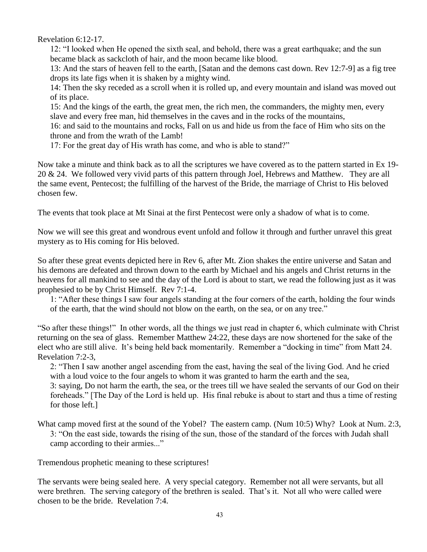Revelation 6:12-17.

12: "I looked when He opened the sixth seal, and behold, there was a great earthquake; and the sun became black as sackcloth of hair, and the moon became like blood.

13: And the stars of heaven fell to the earth, [Satan and the demons cast down. Rev 12:7-9] as a fig tree drops its late figs when it is shaken by a mighty wind.

14: Then the sky receded as a scroll when it is rolled up, and every mountain and island was moved out of its place.

15: And the kings of the earth, the great men, the rich men, the commanders, the mighty men, every slave and every free man, hid themselves in the caves and in the rocks of the mountains,

16: and said to the mountains and rocks, Fall on us and hide us from the face of Him who sits on the throne and from the wrath of the Lamb!

17: For the great day of His wrath has come, and who is able to stand?"

Now take a minute and think back as to all the scriptures we have covered as to the pattern started in Ex 19- 20 & 24. We followed very vivid parts of this pattern through Joel, Hebrews and Matthew. They are all the same event, Pentecost; the fulfilling of the harvest of the Bride, the marriage of Christ to His beloved chosen few.

The events that took place at Mt Sinai at the first Pentecost were only a shadow of what is to come.

Now we will see this great and wondrous event unfold and follow it through and further unravel this great mystery as to His coming for His beloved.

So after these great events depicted here in Rev 6, after Mt. Zion shakes the entire universe and Satan and his demons are defeated and thrown down to the earth by Michael and his angels and Christ returns in the heavens for all mankind to see and the day of the Lord is about to start, we read the following just as it was prophesied to be by Christ Himself. Rev 7:1-4.

1: "After these things I saw four angels standing at the four corners of the earth, holding the four winds of the earth, that the wind should not blow on the earth, on the sea, or on any tree."

"So after these things!" In other words, all the things we just read in chapter 6, which culminate with Christ returning on the sea of glass. Remember Matthew 24:22, these days are now shortened for the sake of the elect who are still alive. It's being held back momentarily. Remember a "docking in time" from Matt 24. Revelation 7:2-3,

2: "Then I saw another angel ascending from the east, having the seal of the living God. And he cried with a loud voice to the four angels to whom it was granted to harm the earth and the sea,

3: saying, Do not harm the earth, the sea, or the trees till we have sealed the servants of our God on their foreheads." [The Day of the Lord is held up. His final rebuke is about to start and thus a time of resting for those left.]

What camp moved first at the sound of the Yobel? The eastern camp. (Num 10:5) Why? Look at Num. 2:3, 3: "On the east side, towards the rising of the sun, those of the standard of the forces with Judah shall camp according to their armies..."

Tremendous prophetic meaning to these scriptures!

The servants were being sealed here. A very special category. Remember not all were servants, but all were brethren. The serving category of the brethren is sealed. That's it. Not all who were called were chosen to be the bride. Revelation 7:4.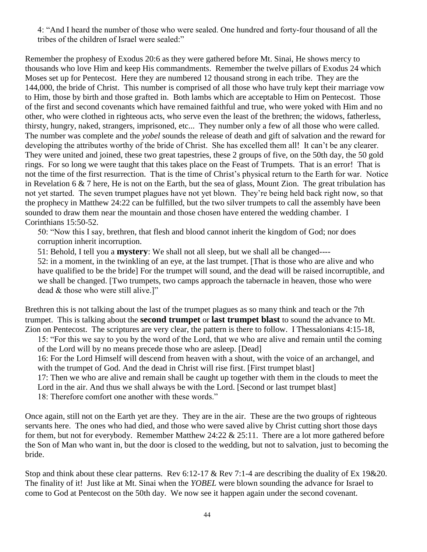4: "And I heard the number of those who were sealed. One hundred and forty-four thousand of all the tribes of the children of Israel were sealed:"

Remember the prophesy of Exodus 20:6 as they were gathered before Mt. Sinai, He shows mercy to thousands who love Him and keep His commandments. Remember the twelve pillars of Exodus 24 which Moses set up for Pentecost. Here they are numbered 12 thousand strong in each tribe. They are the 144,000, the bride of Christ. This number is comprised of all those who have truly kept their marriage vow to Him, those by birth and those grafted in. Both lambs which are acceptable to Him on Pentecost. Those of the first and second covenants which have remained faithful and true, who were yoked with Him and no other, who were clothed in righteous acts, who serve even the least of the brethren; the widows, fatherless, thirsty, hungry, naked, strangers, imprisoned, etc... They number only a few of all those who were called. The number was complete and the *yobel* sounds the release of death and gift of salvation and the reward for developing the attributes worthy of the bride of Christ. She has excelled them all! It can't be any clearer. They were united and joined, these two great tapestries, these 2 groups of five, on the 50th day, the 50 gold rings. For so long we were taught that this takes place on the Feast of Trumpets. That is an error! That is not the time of the first resurrection. That is the time of Christ's physical return to the Earth for war. Notice in Revelation 6 & 7 here, He is not on the Earth, but the sea of glass, Mount Zion. The great tribulation has not yet started. The seven trumpet plagues have not yet blown. They're being held back right now, so that the prophecy in Matthew 24:22 can be fulfilled, but the two silver trumpets to call the assembly have been sounded to draw them near the mountain and those chosen have entered the wedding chamber. I Corinthians 15:50-52.

50: "Now this I say, brethren, that flesh and blood cannot inherit the kingdom of God; nor does corruption inherit incorruption.

51: Behold, I tell you a **mystery**: We shall not all sleep, but we shall all be changed----

52: in a moment, in the twinkling of an eye, at the last trumpet. [That is those who are alive and who have qualified to be the bride] For the trumpet will sound, and the dead will be raised incorruptible, and we shall be changed. [Two trumpets, two camps approach the tabernacle in heaven, those who were dead & those who were still alive.]"

Brethren this is not talking about the last of the trumpet plagues as so many think and teach or the 7th trumpet. This is talking about the **second trumpet** or **last trumpet blast** to sound the advance to Mt. Zion on Pentecost. The scriptures are very clear, the pattern is there to follow. I Thessalonians 4:15-18,

15: "For this we say to you by the word of the Lord, that we who are alive and remain until the coming of the Lord will by no means precede those who are asleep. [Dead]

16: For the Lord Himself will descend from heaven with a shout, with the voice of an archangel, and with the trumpet of God. And the dead in Christ will rise first. [First trumpet blast]

17: Then we who are alive and remain shall be caught up together with them in the clouds to meet the Lord in the air. And thus we shall always be with the Lord. [Second or last trumpet blast]

18: Therefore comfort one another with these words."

Once again, still not on the Earth yet are they. They are in the air. These are the two groups of righteous servants here. The ones who had died, and those who were saved alive by Christ cutting short those days for them, but not for everybody. Remember Matthew 24:22 & 25:11. There are a lot more gathered before the Son of Man who want in, but the door is closed to the wedding, but not to salvation, just to becoming the bride.

Stop and think about these clear patterns. Rev 6:12-17 & Rev 7:1-4 are describing the duality of Ex 19&20. The finality of it! Just like at Mt. Sinai when the *YOBEL* were blown sounding the advance for Israel to come to God at Pentecost on the 50th day. We now see it happen again under the second covenant.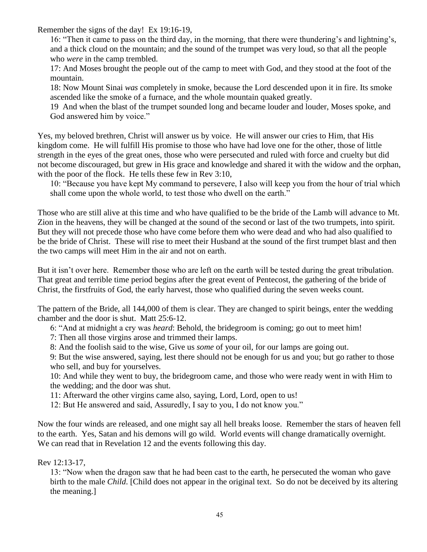Remember the signs of the day! Ex 19:16-19,

16: "Then it came to pass on the third day, in the morning, that there were thundering's and lightning's, and a thick cloud on the mountain; and the sound of the trumpet was very loud, so that all the people who *were* in the camp trembled.

17: And Moses brought the people out of the camp to meet with God, and they stood at the foot of the mountain.

18: Now Mount Sinai *was* completely in smoke, because the Lord descended upon it in fire. Its smoke ascended like the smoke of a furnace, and the whole mountain quaked greatly.

19 And when the blast of the trumpet sounded long and became louder and louder, Moses spoke, and God answered him by voice."

Yes, my beloved brethren, Christ will answer us by voice. He will answer our cries to Him, that His kingdom come. He will fulfill His promise to those who have had love one for the other, those of little strength in the eyes of the great ones, those who were persecuted and ruled with force and cruelty but did not become discouraged, but grew in His grace and knowledge and shared it with the widow and the orphan, with the poor of the flock. He tells these few in Rev 3:10,

10: "Because you have kept My command to persevere, I also will keep you from the hour of trial which shall come upon the whole world, to test those who dwell on the earth."

Those who are still alive at this time and who have qualified to be the bride of the Lamb will advance to Mt. Zion in the heavens, they will be changed at the sound of the second or last of the two trumpets, into spirit. But they will not precede those who have come before them who were dead and who had also qualified to be the bride of Christ. These will rise to meet their Husband at the sound of the first trumpet blast and then the two camps will meet Him in the air and not on earth.

But it isn't over here. Remember those who are left on the earth will be tested during the great tribulation. That great and terrible time period begins after the great event of Pentecost, the gathering of the bride of Christ, the firstfruits of God, the early harvest, those who qualified during the seven weeks count.

The pattern of the Bride, all 144,000 of them is clear. They are changed to spirit beings, enter the wedding chamber and the door is shut. Matt 25:6-12.

- 6: "And at midnight a cry was *heard*: Behold, the bridegroom is coming; go out to meet him!
- 7: Then all those virgins arose and trimmed their lamps.
- 8: And the foolish said to the wise, Give us *some* of your oil, for our lamps are going out.

9: But the wise answered, saying, lest there should not be enough for us and you; but go rather to those who sell, and buy for yourselves.

10: And while they went to buy, the bridegroom came, and those who were ready went in with Him to the wedding; and the door was shut.

11: Afterward the other virgins came also, saying, Lord, Lord, open to us!

12: But He answered and said, Assuredly, I say to you, I do not know you."

Now the four winds are released, and one might say all hell breaks loose. Remember the stars of heaven fell to the earth. Yes, Satan and his demons will go wild. World events will change dramatically overnight. We can read that in Revelation 12 and the events following this day.

# Rev 12:13-17,

13: "Now when the dragon saw that he had been cast to the earth, he persecuted the woman who gave birth to the male *Child*. [Child does not appear in the original text. So do not be deceived by its altering the meaning.]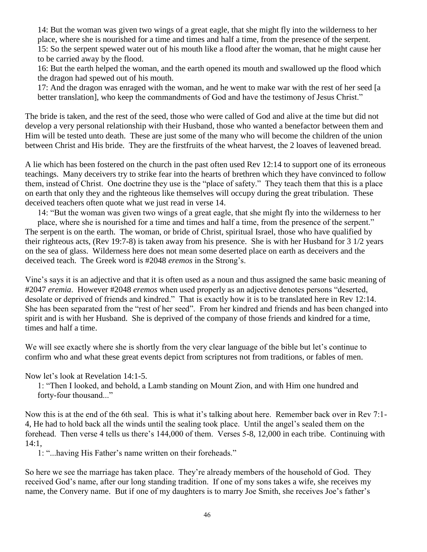14: But the woman was given two wings of a great eagle, that she might fly into the wilderness to her place, where she is nourished for a time and times and half a time, from the presence of the serpent. 15: So the serpent spewed water out of his mouth like a flood after the woman, that he might cause her to be carried away by the flood.

16: But the earth helped the woman, and the earth opened its mouth and swallowed up the flood which the dragon had spewed out of his mouth.

17: And the dragon was enraged with the woman, and he went to make war with the rest of her seed [a better translation], who keep the commandments of God and have the testimony of Jesus Christ."

The bride is taken, and the rest of the seed, those who were called of God and alive at the time but did not develop a very personal relationship with their Husband, those who wanted a benefactor between them and Him will be tested unto death. These are just some of the many who will become the children of the union between Christ and His bride. They are the firstfruits of the wheat harvest, the 2 loaves of leavened bread.

A lie which has been fostered on the church in the past often used Rev 12:14 to support one of its erroneous teachings. Many deceivers try to strike fear into the hearts of brethren which they have convinced to follow them, instead of Christ. One doctrine they use is the "place of safety." They teach them that this is a place on earth that only they and the righteous like themselves will occupy during the great tribulation. These deceived teachers often quote what we just read in verse 14.

14: "But the woman was given two wings of a great eagle, that she might fly into the wilderness to her place, where she is nourished for a time and times and half a time, from the presence of the serpent." The serpent is on the earth. The woman, or bride of Christ, spiritual Israel, those who have qualified by their righteous acts, (Rev 19:7-8) is taken away from his presence. She is with her Husband for 3 1/2 years on the sea of glass. Wilderness here does not mean some deserted place on earth as deceivers and the deceived teach. The Greek word is #2048 *eremos* in the Strong's.

Vine's says it is an adjective and that it is often used as a noun and thus assigned the same basic meaning of #2047 *eremia*. However #2048 *eremos* when used properly as an adjective denotes persons "deserted, desolate or deprived of friends and kindred." That is exactly how it is to be translated here in Rev 12:14. She has been separated from the "rest of her seed". From her kindred and friends and has been changed into spirit and is with her Husband. She is deprived of the company of those friends and kindred for a time, times and half a time.

We will see exactly where she is shortly from the very clear language of the bible but let's continue to confirm who and what these great events depict from scriptures not from traditions, or fables of men.

Now let's look at Revelation 14:1-5.

1: "Then I looked, and behold, a Lamb standing on Mount Zion, and with Him one hundred and forty-four thousand..."

Now this is at the end of the 6th seal. This is what it's talking about here. Remember back over in Rev 7:1- 4, He had to hold back all the winds until the sealing took place. Until the angel's sealed them on the forehead. Then verse 4 tells us there's 144,000 of them. Verses 5-8, 12,000 in each tribe. Continuing with 14:1,

1: "...having His Father's name written on their foreheads."

So here we see the marriage has taken place. They're already members of the household of God. They received God's name, after our long standing tradition. If one of my sons takes a wife, she receives my name, the Convery name. But if one of my daughters is to marry Joe Smith, she receives Joe's father's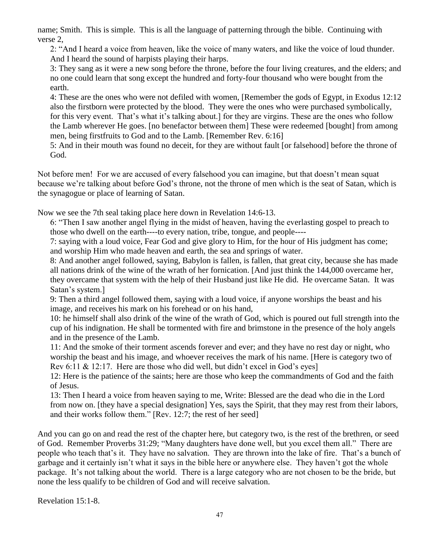name; Smith. This is simple. This is all the language of patterning through the bible. Continuing with verse 2,

2: "And I heard a voice from heaven, like the voice of many waters, and like the voice of loud thunder. And I heard the sound of harpists playing their harps.

3: They sang as it were a new song before the throne, before the four living creatures, and the elders; and no one could learn that song except the hundred and forty-four thousand who were bought from the earth.

4: These are the ones who were not defiled with women, [Remember the gods of Egypt, in Exodus 12:12 also the firstborn were protected by the blood. They were the ones who were purchased symbolically, for this very event. That's what it's talking about.] for they are virgins. These are the ones who follow the Lamb wherever He goes. [no benefactor between them] These were redeemed [bought] from among men, being firstfruits to God and to the Lamb. [Remember Rev. 6:16]

5: And in their mouth was found no deceit, for they are without fault [or falsehood] before the throne of God.

Not before men! For we are accused of every falsehood you can imagine, but that doesn't mean squat because we're talking about before God's throne, not the throne of men which is the seat of Satan, which is the synagogue or place of learning of Satan.

Now we see the 7th seal taking place here down in Revelation 14:6-13.

6: "Then I saw another angel flying in the midst of heaven, having the everlasting gospel to preach to those who dwell on the earth----to every nation, tribe, tongue, and people----

7: saying with a loud voice, Fear God and give glory to Him, for the hour of His judgment has come; and worship Him who made heaven and earth, the sea and springs of water.

8: And another angel followed, saying, Babylon is fallen, is fallen, that great city, because she has made all nations drink of the wine of the wrath of her fornication. [And just think the 144,000 overcame her, they overcame that system with the help of their Husband just like He did. He overcame Satan. It was Satan's system.]

9: Then a third angel followed them, saying with a loud voice, if anyone worships the beast and his image, and receives his mark on his forehead or on his hand,

10: he himself shall also drink of the wine of the wrath of God, which is poured out full strength into the cup of his indignation. He shall be tormented with fire and brimstone in the presence of the holy angels and in the presence of the Lamb.

11: And the smoke of their torment ascends forever and ever; and they have no rest day or night, who worship the beast and his image, and whoever receives the mark of his name. [Here is category two of Rev 6:11 & 12:17. Here are those who did well, but didn't excel in God's eyes]

12: Here is the patience of the saints; here are those who keep the commandments of God and the faith of Jesus.

13: Then I heard a voice from heaven saying to me, Write: Blessed are the dead who die in the Lord from now on. [they have a special designation] Yes, says the Spirit, that they may rest from their labors, and their works follow them." [Rev. 12:7; the rest of her seed]

And you can go on and read the rest of the chapter here, but category two, is the rest of the brethren, or seed of God. Remember Proverbs 31:29; "Many daughters have done well, but you excel them all." There are people who teach that's it. They have no salvation. They are thrown into the lake of fire. That's a bunch of garbage and it certainly isn't what it says in the bible here or anywhere else. They haven't got the whole package. It's not talking about the world. There is a large category who are not chosen to be the bride, but none the less qualify to be children of God and will receive salvation.

Revelation 15:1-8.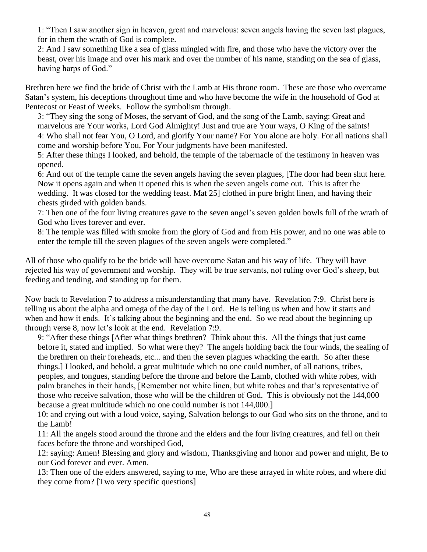1: "Then I saw another sign in heaven, great and marvelous: seven angels having the seven last plagues, for in them the wrath of God is complete.

2: And I saw something like a sea of glass mingled with fire, and those who have the victory over the beast, over his image and over his mark and over the number of his name, standing on the sea of glass, having harps of God."

Brethren here we find the bride of Christ with the Lamb at His throne room. These are those who overcame Satan's system, his deceptions throughout time and who have become the wife in the household of God at Pentecost or Feast of Weeks. Follow the symbolism through.

3: "They sing the song of Moses, the servant of God, and the song of the Lamb, saying: Great and marvelous are Your works, Lord God Almighty! Just and true are Your ways, O King of the saints! 4: Who shall not fear You, O Lord, and glorify Your name? For You alone are holy. For all nations shall come and worship before You, For Your judgments have been manifested.

5: After these things I looked, and behold, the temple of the tabernacle of the testimony in heaven was opened.

6: And out of the temple came the seven angels having the seven plagues, [The door had been shut here. Now it opens again and when it opened this is when the seven angels come out. This is after the wedding. It was closed for the wedding feast. Mat 25] clothed in pure bright linen, and having their chests girded with golden bands.

7: Then one of the four living creatures gave to the seven angel's seven golden bowls full of the wrath of God who lives forever and ever.

8: The temple was filled with smoke from the glory of God and from His power, and no one was able to enter the temple till the seven plagues of the seven angels were completed."

All of those who qualify to be the bride will have overcome Satan and his way of life. They will have rejected his way of government and worship. They will be true servants, not ruling over God's sheep, but feeding and tending, and standing up for them.

Now back to Revelation 7 to address a misunderstanding that many have. Revelation 7:9. Christ here is telling us about the alpha and omega of the day of the Lord. He is telling us when and how it starts and when and how it ends. It's talking about the beginning and the end. So we read about the beginning up through verse 8, now let's look at the end. Revelation 7:9.

9: "After these things [After what things brethren? Think about this. All the things that just came before it, stated and implied. So what were they? The angels holding back the four winds, the sealing of the brethren on their foreheads, etc... and then the seven plagues whacking the earth. So after these things.] I looked, and behold, a great multitude which no one could number, of all nations, tribes, peoples, and tongues, standing before the throne and before the Lamb, clothed with white robes, with palm branches in their hands, [Remember not white linen, but white robes and that's representative of those who receive salvation, those who will be the children of God. This is obviously not the 144,000 because a great multitude which no one could number is not 144,000.]

10: and crying out with a loud voice, saying, Salvation belongs to our God who sits on the throne, and to the Lamb!

11: All the angels stood around the throne and the elders and the four living creatures, and fell on their faces before the throne and worshiped God,

12: saying: Amen! Blessing and glory and wisdom, Thanksgiving and honor and power and might, Be to our God forever and ever. Amen.

13: Then one of the elders answered, saying to me, Who are these arrayed in white robes, and where did they come from? [Two very specific questions]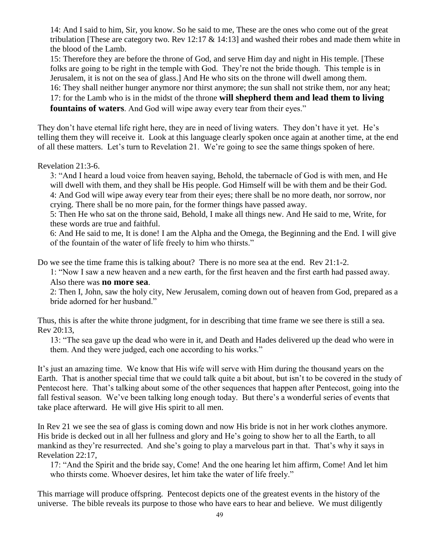14: And I said to him, Sir, you know. So he said to me, These are the ones who come out of the great tribulation [These are category two. Rev 12:17 & 14:13] and washed their robes and made them white in the blood of the Lamb.

15: Therefore they are before the throne of God, and serve Him day and night in His temple. [These folks are going to be right in the temple with God. They're not the bride though. This temple is in Jerusalem, it is not on the sea of glass.] And He who sits on the throne will dwell among them. 16: They shall neither hunger anymore nor thirst anymore; the sun shall not strike them, nor any heat; 17: for the Lamb who is in the midst of the throne **will shepherd them and lead them to living fountains of waters**. And God will wipe away every tear from their eyes."

They don't have eternal life right here, they are in need of living waters. They don't have it yet. He's telling them they will receive it. Look at this language clearly spoken once again at another time, at the end of all these matters. Let's turn to Revelation 21. We're going to see the same things spoken of here.

Revelation 21:3-6.

3: "And I heard a loud voice from heaven saying, Behold, the tabernacle of God is with men, and He will dwell with them, and they shall be His people. God Himself will be with them and be their God. 4: And God will wipe away every tear from their eyes; there shall be no more death, nor sorrow, nor crying. There shall be no more pain, for the former things have passed away.

5: Then He who sat on the throne said, Behold, I make all things new. And He said to me, Write, for these words are true and faithful.

6: And He said to me, It is done! I am the Alpha and the Omega, the Beginning and the End. I will give of the fountain of the water of life freely to him who thirsts."

Do we see the time frame this is talking about? There is no more sea at the end. Rev 21:1-2.

1: "Now I saw a new heaven and a new earth, for the first heaven and the first earth had passed away. Also there was **no more sea**.

2: Then I, John, saw the holy city, New Jerusalem, coming down out of heaven from God, prepared as a bride adorned for her husband."

Thus, this is after the white throne judgment, for in describing that time frame we see there is still a sea. Rev 20:13,

13: "The sea gave up the dead who were in it, and Death and Hades delivered up the dead who were in them. And they were judged, each one according to his works."

It's just an amazing time. We know that His wife will serve with Him during the thousand years on the Earth. That is another special time that we could talk quite a bit about, but isn't to be covered in the study of Pentecost here. That's talking about some of the other sequences that happen after Pentecost, going into the fall festival season. We've been talking long enough today. But there's a wonderful series of events that take place afterward. He will give His spirit to all men.

In Rev 21 we see the sea of glass is coming down and now His bride is not in her work clothes anymore. His bride is decked out in all her fullness and glory and He's going to show her to all the Earth, to all mankind as they're resurrected. And she's going to play a marvelous part in that. That's why it says in Revelation 22:17,

17: "And the Spirit and the bride say, Come! And the one hearing let him affirm, Come! And let him who thirsts come. Whoever desires, let him take the water of life freely."

This marriage will produce offspring. Pentecost depicts one of the greatest events in the history of the universe. The bible reveals its purpose to those who have ears to hear and believe. We must diligently